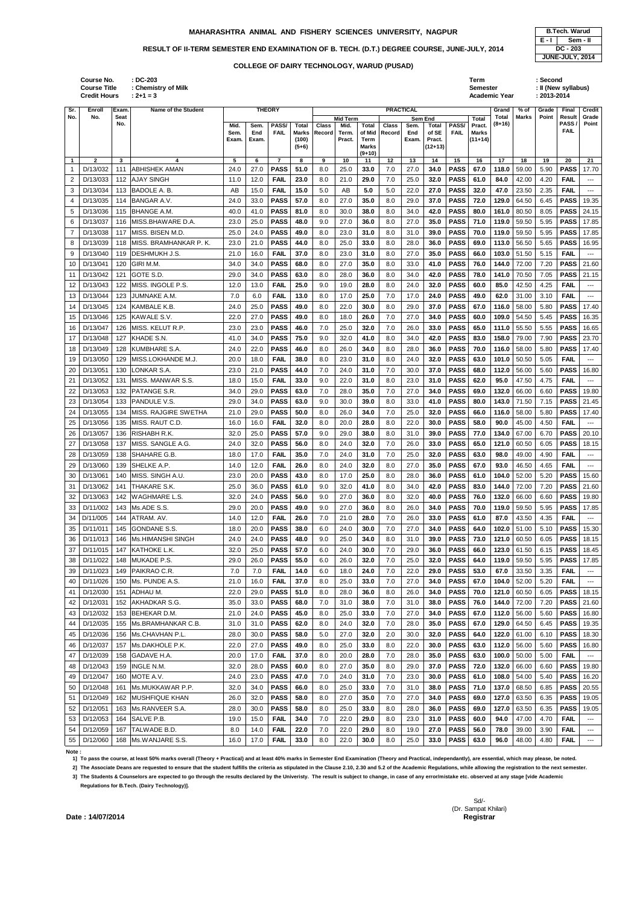## **MAHARASHTRA ANIMAL AND FISHERY SCIENCES UNIVERSITY, NAGPUR <b>B.Tech. Warud B.Tech.** Warud

## RESULT OF II-TERM SEMESTER END EXAMINATION OF B. TECH. (D.T.) DEGREE COURSE, JUNE-JULY, 2014

**: DC-203 Term : Second**

|                     | <b>Course Title</b><br><b>Credit Hours</b> |             | : Chemistry of Milk<br>$: 2 + 1 = 3$ |                       |                      |                               |                                                  |                 |                                            |                                                            |                        |                      |                                                         |                            | Semester                                            | Academic Year     |                | : II (New syllabus)<br>: 2013-2014 |                                       |                          |
|---------------------|--------------------------------------------|-------------|--------------------------------------|-----------------------|----------------------|-------------------------------|--------------------------------------------------|-----------------|--------------------------------------------|------------------------------------------------------------|------------------------|----------------------|---------------------------------------------------------|----------------------------|-----------------------------------------------------|-------------------|----------------|------------------------------------|---------------------------------------|--------------------------|
| Sr.                 | Enroll                                     | Exam        | <b>Name of the Student</b>           |                       |                      | <b>THEORY</b>                 |                                                  |                 |                                            |                                                            |                        | <b>PRACTICAL</b>     |                                                         |                            |                                                     | Grand             | % of           | Grade                              | Final                                 | Credit                   |
| No.                 | No.                                        | Seat<br>No. |                                      | Mid.<br>Sem.<br>Exam. | Sem.<br>End<br>Exam. | PASS/<br><b>FAIL</b>          | <b>Total</b><br><b>Marks</b><br>(100)<br>$(5+6)$ | Class<br>Record | <b>Mid Term</b><br>Mid.<br>Term.<br>Pract. | <b>Total</b><br>of Mid<br>Term<br><b>Marks</b><br>$(9+10)$ | <b>Class</b><br>Record | Sem.<br>End<br>Exam. | Sem End<br><b>Total</b><br>of SE<br>Pract.<br>$(12+13)$ | PASS/<br><b>FAIL</b>       | <b>Total</b><br>Pract.<br><b>Marks</b><br>$(11+14)$ | Total<br>$(8+16)$ | <b>Marks</b>   | Point                              | Result<br><b>PASS/</b><br><b>FAIL</b> | Grade<br>Point           |
| $\overline{1}$      | $\mathbf{2}$                               | 3           | $\boldsymbol{4}$                     | 5                     | 6                    | $\overline{7}$<br><b>PASS</b> | 8                                                | 9               | 10                                         | 11                                                         | 12                     | 13                   | 14                                                      | 15                         | 16<br>67.0                                          | 17<br>118.0       | 18             | 19                                 | 20<br><b>PASS</b>                     | 21                       |
| -1                  | D/13/032                                   | 111         | <b>ABHISHEK AMAN</b>                 | 24.0                  | 27.0                 |                               | 51.0                                             | 8.0             | 25.0                                       | 33.0                                                       | 7.0                    | 27.0                 | 34.0                                                    | <b>PASS</b>                |                                                     |                   | 59.00          | 5.90                               |                                       | 17.70                    |
| 2                   | D/13/033<br>D/13/034                       | 112         | <b>AJAY SINGH</b>                    | 11.0                  | 12.0                 | <b>FAIL</b>                   | 23.0                                             | 8.0             | 21.0                                       | 29.0<br>5.0                                                | 7.0                    | 25.0                 | 32.0                                                    | <b>PASS</b>                | 61.0                                                | 84.0              | 42.00          | 4.20                               | <b>FAIL</b><br><b>FAIL</b>            | $---$                    |
| 3                   | D/13/035                                   | 113<br>114  | BADOLE A. B.<br><b>BANGAR A.V.</b>   | AB<br>24.0            | 15.0<br>33.0         | <b>FAIL</b><br><b>PASS</b>    | 15.0<br>57.0                                     | 5.0<br>8.0      | AB<br>27.0                                 | 35.0                                                       | 5.0<br>8.0             | 22.0<br>29.0         | 27.0<br>37.0                                            | <b>PASS</b><br><b>PASS</b> | 32.0<br>72.0                                        | 47.0<br>129.0     | 23.50<br>64.50 | 2.35<br>6.45                       | <b>PASS</b>                           | $\overline{a}$<br>19.35  |
| 4                   | D/13/036                                   | 115         | <b>BHANGE A.M.</b>                   | 40.0                  | 41.0                 | <b>PASS</b>                   | 81.0                                             | 8.0             | 30.0                                       | 38.0                                                       | 8.0                    | 34.0                 | 42.0                                                    | <b>PASS</b>                | 80.0                                                | 161.0             | 80.50          | 8.05                               | <b>PASS</b>                           | 24.15                    |
| 5                   | D/13/037                                   | 116         | MISS.BHAWARE D.A.                    | 23.0                  | 25.0                 | <b>PASS</b>                   | 48.0                                             | 9.0             | 27.0                                       | 36.0                                                       | 8.0                    | 27.0                 | 35.0                                                    | <b>PASS</b>                | 71.0                                                | 119.0             | 59.50          | 5.95                               | <b>PASS</b>                           | 17.85                    |
| 6<br>$\overline{7}$ | D/13/038                                   | 117         | MISS. BISEN M.D.                     | 25.0                  | 24.0                 | <b>PASS</b>                   | 49.0                                             | 8.0             | 23.0                                       | 31.0                                                       | 8.0                    | 31.0                 | 39.0                                                    | <b>PASS</b>                | 70.0                                                | 119.0             | 59.50          | 5.95                               | <b>PASS</b>                           | 17.85                    |
| 8                   | D/13/039                                   | 118         | MISS. BRAMHANKAR P. K.               | 23.0                  | 21.0                 | <b>PASS</b>                   | 44.0                                             | 8.0             | 25.0                                       | 33.0                                                       | 8.0                    | 28.0                 | 36.0                                                    | <b>PASS</b>                | 69.0                                                | 113.0             | 56.50          | 5.65                               | <b>PASS</b>                           | 16.95                    |
|                     | D/13/040                                   | 119         | DESHMUKH J.S.                        | 21.0                  | 16.0                 | <b>FAIL</b>                   | 37.0                                             | 8.0             | 23.0                                       | 31.0                                                       | 8.0                    | 27.0                 | 35.0                                                    | <b>PASS</b>                | 66.0                                                | 103.0             | 51.50          | 5.15                               | <b>FAIL</b>                           | $--$                     |
| 9<br>10             | D/13/041                                   | 120         | GIRI M.M.                            | 34.0                  | 34.0                 | <b>PASS</b>                   | 68.0                                             | 8.0             | 27.0                                       | 35.0                                                       | 8.0                    | 33.0                 | 41.0                                                    | <b>PASS</b>                | 76.0                                                | 144.0             | 72.00          | 7.20                               | <b>PASS</b>                           | 21.60                    |
| 11                  | D/13/042                                   | 121         | GOTE S.D.                            | 29.0                  | 34.0                 | <b>PASS</b>                   | 63.0                                             | 8.0             | 28.0                                       | 36.0                                                       | 8.0                    | 34.0                 | 42.0                                                    | <b>PASS</b>                | 78.0                                                | 141.0             | 70.50          | 7.05                               | <b>PASS</b>                           | 21.15                    |
| 12                  | D/13/043                                   | 122         | MISS. INGOLE P.S.                    | 12.0                  | 13.0                 | <b>FAIL</b>                   | 25.0                                             | 9.0             | 19.0                                       | 28.0                                                       | 8.0                    | 24.0                 | 32.0                                                    | <b>PASS</b>                | 60.0                                                | 85.0              | 42.50          | 4.25                               | <b>FAIL</b>                           | $\overline{a}$           |
| 13                  | D/13/044                                   | 123         | JUMNAKE A.M.                         | 7.0                   | 6.0                  | <b>FAIL</b>                   | 13.0                                             | 8.0             | 17.0                                       | 25.0                                                       | 7.0                    | 17.0                 | 24.0                                                    | <b>PASS</b>                | 49.0                                                | 62.0              | 31.00          | 3.10                               | <b>FAIL</b>                           | $--$                     |
| 14                  | D/13/045                                   | 124         | KAMBALE K.B.                         | 24.0                  | 25.0                 | <b>PASS</b>                   | 49.0                                             | 8.0             | 22.0                                       | 30.0                                                       | 8.0                    | 29.0                 | 37.0                                                    | <b>PASS</b>                | 67.0                                                | 116.0             | 58.00          | 5.80                               | <b>PASS</b>                           | 17.40                    |
| 15                  | D/13/046                                   | 125         | KAWALE S.V.                          | 22.0                  | 27.0                 | <b>PASS</b>                   | 49.0                                             | 8.0             | 18.0                                       | 26.0                                                       | 7.0                    | 27.0                 | 34.0                                                    | <b>PASS</b>                | 60.0                                                | 109.0             | 54.50          | 5.45                               | <b>PASS</b>                           | 16.35                    |
| 16                  | D/13/047                                   | 126         | MISS. KELUT R.P.                     | 23.0                  | 23.0                 | <b>PASS</b>                   | 46.0                                             | 7.0             | 25.0                                       | 32.0                                                       | 7.0                    | 26.0                 | 33.0                                                    | <b>PASS</b>                | 65.0                                                | 111.0             | 55.50          | 5.55                               | <b>PASS</b>                           | 16.65                    |
| 17                  | D/13/048                                   | 127         | KHADE S.N.                           | 41.0                  | 34.0                 | <b>PASS</b>                   | 75.0                                             | 9.0             | 32.0                                       | 41.0                                                       | 8.0                    | 34.0                 | 42.0                                                    | <b>PASS</b>                | 83.0                                                | 158.0             | 79.00          | 7.90                               | <b>PASS</b>                           | 23.70                    |
| 18                  | D/13/049                                   | 128         | KUMBHARE S.A.                        | 24.0                  | 22.0                 | <b>PASS</b>                   | 46.0                                             | 8.0             | 26.0                                       | 34.0                                                       | 8.0                    | 28.0                 | 36.0                                                    | <b>PASS</b>                | 70.0                                                | 116.0             | 58.00          | 5.80                               | <b>PASS</b>                           | 17.40                    |
| 19                  | D/13/050                                   | 129         | MISS.LOKHANDE M.J.                   | 20.0                  | 18.0                 | <b>FAIL</b>                   | 38.0                                             | 8.0             | 23.0                                       | 31.0                                                       | 8.0                    | 24.0                 | 32.0                                                    | <b>PASS</b>                | 63.0                                                | 101.0             | 50.50          | 5.05                               | <b>FAIL</b>                           | $\overline{a}$           |
| 20                  | D/13/051                                   | 130         | LONKAR S.A.                          | 23.0                  | 21.0                 | <b>PASS</b>                   | 44.0                                             | 7.0             | 24.0                                       | 31.0                                                       | 7.0                    | 30.0                 | 37.0                                                    | <b>PASS</b>                | 68.0                                                | 112.0             | 56.00          | 5.60                               | <b>PASS</b>                           | 16.80                    |
| 21                  | D/13/052                                   | 131         | MISS. MANWAR S.S.                    | 18.0                  | 15.0                 | <b>FAIL</b>                   | 33.0                                             | 9.0             | 22.0                                       | 31.0                                                       | 8.0                    | 23.0                 | 31.0                                                    | <b>PASS</b>                | 62.0                                                | 95.0              | 47.50          | 4.75                               | <b>FAIL</b>                           | $\sim$ $\sim$            |
| 22                  | D/13/053                                   | 132         | PATANGE S.R.                         | 34.0                  | 29.0                 | <b>PASS</b>                   | 63.0                                             | 7.0             | 28.0                                       | 35.0                                                       | 7.0                    | 27.0                 | 34.0                                                    | <b>PASS</b>                | 69.0                                                | 132.0             | 66.00          | 6.60                               | <b>PASS</b>                           | 19.80                    |
| 23                  | D/13/054                                   | 133         | <b>PANDULE V.S.</b>                  | 29.0                  | 34.0                 | <b>PASS</b>                   | 63.0                                             | 9.0             | 30.0                                       | 39.0                                                       | 8.0                    | 33.0                 | 41.0                                                    | <b>PASS</b>                | 80.0                                                | 143.0             | 71.50          | 7.15                               | <b>PASS</b>                           | 21.45                    |
| 24                  | D/13/055                                   | 134         | MISS. RAJGIRE SWETHA                 | 21.0                  | 29.0                 | <b>PASS</b>                   | 50.0                                             | 8.0             | 26.0                                       | 34.0                                                       | 7.0                    | 25.0                 | 32.0                                                    | <b>PASS</b>                | 66.0                                                | 116.0             | 58.00          | 5.80                               | <b>PASS</b>                           | 17.40                    |
| 25                  | D/13/056                                   | 135         | MISS, RAUT C.D.                      | 16.0                  | 16.0                 | <b>FAIL</b>                   | 32.0                                             | 8.0             | 20.0                                       | 28.0                                                       | 8.0                    | 22.0                 | 30.0                                                    | <b>PASS</b>                | 58.0                                                | 90.0              | 45.00          | 4.50                               | <b>FAIL</b>                           | $\overline{a}$           |
| 26                  | D/13/057                                   | 136         | RISHABH R.K.                         | 32.0                  | 25.0                 | <b>PASS</b>                   | 57.0                                             | 9.0             | 29.0                                       | 38.0                                                       | 8.0                    | 31.0                 | 39.0                                                    | <b>PASS</b>                | 77.0                                                | 134.0             | 67.00          | 6.70                               | <b>PASS</b>                           | 20.10                    |
| 27                  | D/13/058                                   | 137         | MISS. SANGLE A.G.                    | 24.0                  | 32.0                 | <b>PASS</b>                   | 56.0                                             | 8.0             | 24.0                                       | 32.0                                                       | 7.0                    | 26.0                 | 33.0                                                    | <b>PASS</b>                | 65.0                                                | 121.0             | 60.50          | 6.05                               | <b>PASS</b>                           | 18.15                    |
| 28                  | D/13/059                                   | 138         | SHAHARE G.B.                         | 18.0                  | 17.0                 | <b>FAIL</b>                   | 35.0                                             | 7.0             | 24.0                                       | 31.0                                                       | 7.0                    | 25.0                 | 32.0                                                    | <b>PASS</b>                | 63.0                                                | 98.0              | 49.00          | 4.90                               | <b>FAIL</b>                           | $---$                    |
| 29                  | D/13/060                                   | 139         | SHELKE A.P.                          | 14.0                  | 12.0                 | <b>FAIL</b>                   | 26.0                                             | 8.0             | 24.0                                       | 32.0                                                       | 8.0                    | 27.0                 | 35.0                                                    | <b>PASS</b>                | 67.0                                                | 93.0              | 46.50          | 4.65                               | <b>FAIL</b>                           | $\hspace{0.05cm} \ldots$ |
| 30                  | D/13/061                                   | 140         | MISS. SINGH A.U.                     | 23.0                  | 20.0                 | <b>PASS</b>                   | 43.0                                             | 8.0             | 17.0                                       | 25.0                                                       | 8.0                    | 28.0                 | 36.0                                                    | <b>PASS</b>                | 61.0                                                | 104.0             | 52.00          | 5.20                               | <b>PASS</b>                           | 15.60                    |
| 31                  | D/13/062                                   | 141         | THAKARE S.K.                         | 25.0                  | 36.0                 | <b>PASS</b>                   | 61.0                                             | 9.0             | 32.0                                       | 41.0                                                       | 8.0                    | 34.0                 | 42.0                                                    | <b>PASS</b>                | 83.0                                                | 144.0             | 72.00          | 7.20                               | <b>PASS</b>                           | 21.60                    |
| 32                  | D/13/063                                   | 142         | <b>WAGHMARE L.S.</b>                 | 32.0                  | 24.0                 | <b>PASS</b>                   | 56.0                                             | 9.0             | 27.0                                       | 36.0                                                       | 8.0                    | 32.0                 | 40.0                                                    | <b>PASS</b>                | 76.0                                                | 132.0             | 66.00          | 6.60                               | <b>PASS</b>                           | 19.80                    |
| 33                  | D/11/002                                   | 143         | Ms.ADE S.S.                          | 29.0                  | 20.0                 | <b>PASS</b>                   | 49.0                                             | 9.0             | 27.0                                       | 36.0                                                       | 8.0                    | 26.0                 | 34.0                                                    | <b>PASS</b>                | 70.0                                                | 119.0             | 59.50          | 5.95                               | <b>PASS</b>                           | 17.85                    |
| 34                  | D/11/005                                   | 144         | ATRAM. AV.                           | 14.0                  | 12.0                 | <b>FAIL</b>                   | 26.0                                             | 7.0             | 21.0                                       | 28.0                                                       | 7.0                    | 26.0                 | 33.0                                                    | <b>PASS</b>                | 61.0                                                | 87.0              | 43.50          | 4.35                               | <b>FAIL</b>                           | $--$                     |
| 35                  | D/11/011                                   | 145         | <b>GONDANE S.S.</b>                  | 18.0                  | 20.0                 | <b>PASS</b>                   | 38.0                                             | 6.0             | 24.0                                       | 30.0                                                       | 7.0                    | 27.0                 | 34.0                                                    | <b>PASS</b>                | 64.0                                                | 102.0             | 51.00          | 5.10                               | <b>PASS</b>                           | 15.30                    |
| 36                  | D/11/013                                   | 146         | Ms.HIMANSHI SINGH                    | 24.0                  | 24.0                 | <b>PASS</b>                   | 48.0                                             | 9.0             | 25.0                                       | 34.0                                                       | 8.0                    | 31.0                 | 39.0                                                    | <b>PASS</b>                | 73.0                                                | 121.0             | 60.50          | 6.05                               | <b>PASS</b>                           | 18.15                    |
| 37                  | D/11/015                                   | 147         | KATHOKE L.K.                         | 32.0                  | 25.0                 | <b>PASS</b>                   | 57.0                                             | 6.0             | 24.0                                       | 30.0                                                       | 7.0                    | 29.0                 | 36.0                                                    | <b>PASS</b>                | 66.0                                                | 123.0             | 61.50          | 6.15                               | <b>PASS</b>                           | 18.45                    |
| 38                  | D/11/022                                   | 148         | MUKADE P.S.                          | 29.0                  | 26.0                 | <b>PASS</b>                   | 55.0                                             | 6.0             | 26.0                                       | 32.0                                                       | 7.0                    | 25.0                 | 32.0                                                    | <b>PASS</b>                | 64.0                                                | 119.0             | 59.50          | 5.95                               | <b>PASS</b>                           | 17.85                    |
| 39                  | D/11/023                                   | 149         | PAIKRAO C.R.                         | 7.0                   | 7.0                  | <b>FAIL</b>                   | 14.0                                             | 6.0             | 18.0                                       | 24.0                                                       | 7.0                    | 22.0                 | 29.0                                                    | <b>PASS</b>                | 53.0                                                | 67.0              | 33.50          | 3.35                               | <b>FAIL</b>                           | $\sim$ $\sim$            |
| 40                  | D/11/026                                   | 150         | Ms. PUNDE A.S.                       | 21.0                  | 16.0                 | <b>FAIL</b>                   | 37.0                                             | 8.0             | 25.0                                       | 33.0                                                       | 7.0                    | 27.0                 | 34.0                                                    | <b>PASS</b>                | 67.0                                                | 104.0             | 52.00          | 5.20                               | <b>FAIL</b>                           | $\hspace{0.05cm} \ldots$ |
| 41                  | D/12/030                                   | 151         | ADHAU M.                             | 22.0                  | 29.0                 | <b>PASS</b>                   | 51.0                                             | 8.0             | 28.0                                       | 36.0                                                       | 8.0                    | 26.0                 | 34.0                                                    | <b>PASS</b>                | 70.0                                                | 121.0             | 60.50          | 6.05                               | <b>PASS</b>                           | 18.15                    |
| 42                  | D/12/031                                   | 152         | AKHADKAR S.G.                        | 35.0                  | 33.0                 | <b>PASS</b>                   | 68.0                                             | 7.0             | 31.0                                       | 38.0                                                       | 7.0                    | 31.0                 | 38.0                                                    | <b>PASS</b>                | 76.0                                                | 144.0             | 72.00          | 7.20                               | <b>PASS</b>                           | 21.60                    |
| 43                  | D/12/032                                   |             | 153 BEHEKAR D.M.                     | 21.0                  | 24.0                 | <b>PASS</b>                   | 45.0                                             | 8.0             | 25.0                                       | 33.0                                                       | 7.0                    | 27.0                 | 34.0                                                    | <b>PASS</b>                | 67.0                                                | 112.0             | 56.00          | 5.60                               | <b>PASS</b>                           | 16.80                    |
| 44                  | D/12/035                                   | 155         | Ms.BRAMHANKAR C.B.                   | 31.0                  | 31.0                 | <b>PASS</b>                   | 62.0                                             | 8.0             | 24.0                                       | 32.0                                                       | 7.0                    | 28.0                 | 35.0                                                    | <b>PASS</b>                | 67.0                                                | 129.0             | 64.50          | 6.45                               | <b>PASS</b>                           | 19.35                    |
| 45                  | D/12/036                                   | 156         | Ms.CHAVHAN P.L.                      | 28.0                  | 30.0                 | <b>PASS</b>                   | 58.0                                             | 5.0             | 27.0                                       | 32.0                                                       | 2.0                    | 30.0                 | 32.0                                                    | <b>PASS</b>                | 64.0                                                | 122.0             | 61.00          | 6.10                               | <b>PASS</b>                           | 18.30                    |
| 46                  | D/12/037                                   |             | 157   Ms.DAKHOLE P.K.                | 22.0                  | 27.0                 | <b>PASS</b>                   | 49.0                                             | 8.0             | 25.0                                       | 33.0                                                       | 8.0                    | 22.0                 | 30.0                                                    | <b>PASS</b>                | 63.0                                                | 112.0             | 56.00          | 5.60                               | <b>PASS</b>                           | 16.80                    |
| 47                  | D/12/039                                   | 158         | GADAVE H.A.                          | 20.0                  | 17.0                 | <b>FAIL</b>                   | 37.0                                             | 8.0             | 20.0                                       | 28.0                                                       | 7.0                    | 28.0                 | 35.0                                                    | <b>PASS</b>                | 63.0                                                | 100.0             | 50.00          | 5.00                               | <b>FAIL</b>                           | $\scriptstyle\cdots$     |

48 D/12/043 159 INGLE N.M. 32.0 28.0 **PASS 60.0** 8.0 27.0 **35.0** 8.0 29.0 **37.0 PASS 72.0 132.0** 66.00 6.60 **PASS** 19.80 49 D/12/047 160 MOTE A.V. 24.0 23.0 **PASS 47.0** 7.0 24.0 **31.0** 7.0 23.0 **30.0 PASS 61.0 108.0** 54.00 5.40 **PASS** 16.20

| 50 I | D/12/048 | 161 | Ms.MUKKAWAR P.P.     | 32.0 | 34.0 | <b>PASS</b> | 66.0 | 8.0 | 25.0 | 33.0 | 7.0 | 31.0 | 38.0 | <b>PASS</b> |      |      | 71.0 137.0 68.50                         |      | 6.85 <b>PASS</b> 20.55 |         |
|------|----------|-----|----------------------|------|------|-------------|------|-----|------|------|-----|------|------|-------------|------|------|------------------------------------------|------|------------------------|---------|
| 51   | D/12/049 |     | 162 IMUSHFIQUE KHAN  | 26.0 | 32.0 | <b>PASS</b> | 58.0 | 8.0 | 27.0 | 35.0 | 7.0 | 27.0 | 34.0 | <b>PASS</b> |      |      | 69.0   127.0   63.50                     | 6.35 | <b>PASS</b>   19.05    |         |
| 52   | D/12/051 |     | 163 IMs.RANVEER S.A. | 28.0 | 30.0 | <b>PASS</b> | 58.0 | 8.0 | 25.0 | 33.0 | 8.0 | 28.0 | 36.0 | <b>PASS</b> |      |      | 69.0 $\vert$ 127.0 $\vert$ 63.50 $\vert$ | 6.35 | I PASS I               | 19.05   |
| 53   | D/12/053 |     | 164 ISALVE P.B.      | 19.0 | 15.0 | <b>FAIL</b> | 34.0 | 7.0 | 22.0 | 29.0 | 8.0 | 23.0 | 31.0 | <b>PASS</b> | 60.0 | 94.0 | 47.00                                    | 4.70 | <b>FAIL</b>            | $---$   |
| 54   | D/12/059 | 167 | <b>TALWADE B.D.</b>  | 8.0  | 14.0 | <b>FAIL</b> | 22.0 | 7.0 | 22.0 | 29.0 | 8.0 | 19.0 | 27.0 | <b>PASS</b> | 56.0 | 78.0 | 39.00                                    | 3.90 | <b>FAIL</b>            | $- - -$ |
| 55   | D/12/060 |     | 168 IMs.WANJARE S.S. | 16.0 | 17.0 | <b>FAIL</b> | 33.0 | 8.0 | 22.0 | 30.0 | 8.0 | 25.0 | 33.0 | <b>PASS</b> | 63.0 | 96.0 | 48.00                                    | 4.80 | <b>FAIL</b>            | ---     |

## **Note :**

**1] To pass the course, at least 50% marks overall (Theory + Practical) and at least 40% marks in Semester End Examination (Theory and Practical, independantly), are essential, which may please, be noted.**

**2] The Associate Deans are requested to ensure that the student fulfills the criteria as stipulated in the Clause 2.10, 2.30 and 5.2 of the Academic Regulations, while allowing the registration to the next semester.**

**3] The Students & Counselors are expected to go through the results declared by the Univeristy. The result is subject to change, in case of any error/mistake etc. observed at any stage [vide Academic Regulations for B.Tech. (Dairy Technology)].**

> Sd/- (Dr. Sampat Khilari)

**Date: 14/07/2014** 

## **COLLEGE OF DAIRY TECHNOLOGY, WARUD (PUSAD)**

**Course No.**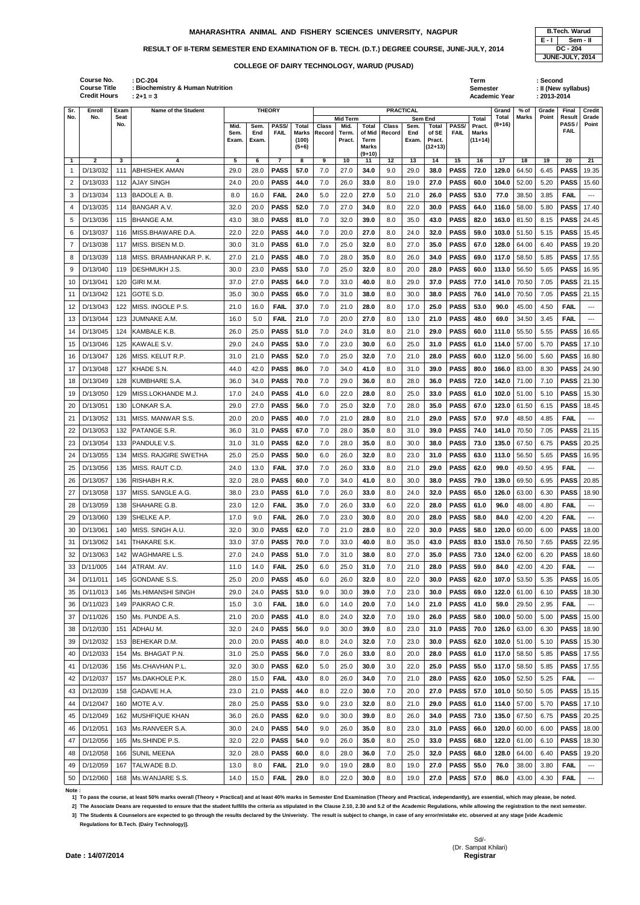|                |                                                          |             |                                                               |               |              | <b>COLLEGE OF DAIRY TECHNOLOGY, WARUD (PUSAD)</b> |                           |        |                         |                                            |                  |                 |                              |             |                        |                 |                  |                                                |                   |                     |
|----------------|----------------------------------------------------------|-------------|---------------------------------------------------------------|---------------|--------------|---------------------------------------------------|---------------------------|--------|-------------------------|--------------------------------------------|------------------|-----------------|------------------------------|-------------|------------------------|-----------------|------------------|------------------------------------------------|-------------------|---------------------|
|                | Course No.<br><b>Course Title</b><br><b>Credit Hours</b> |             | : DC-204<br>: Biochemistry & Human Nutrition<br>$: 2 + 1 = 3$ |               |              |                                                   |                           |        |                         |                                            |                  |                 |                              |             | Term<br>Semester       | Academic Year   |                  | : Second<br>: II (New syllabus)<br>: 2013-2014 |                   |                     |
| Sr.            | Enroll                                                   | Exam        | Name of the Student                                           |               |              | <b>THEORY</b>                                     |                           |        |                         |                                            | <b>PRACTICAL</b> |                 |                              |             |                        | Grand           | % of             | Grade                                          | Final             | Credit              |
| No.            | No.                                                      | Seat<br>No. |                                                               | Mid.          | Sem.         | PASS/                                             | Total                     | Class  | <b>Mid Term</b><br>Mid. | <b>Total</b>                               | Class            | Sem End<br>Sem. | <b>Total</b>                 | PASS/       | <b>Total</b><br>Pract. | Total<br>(8+16) | Marks            | Point                                          | Result<br>PASS    | Grade<br>Point      |
|                |                                                          |             |                                                               | Sem.<br>Exam. | End<br>Exam. | <b>FAIL</b>                                       | Marks<br>(100)<br>$(5+6)$ | Record | Term.<br>Pract.         | of Mid<br>Term<br><b>Marks</b><br>$(9+10)$ | Record           | End<br>Exam.    | of SE<br>Pract.<br>$(12+13)$ | <b>FAIL</b> | Marks<br>$(11+14)$     |                 |                  |                                                | <b>FAIL</b>       |                     |
| $\overline{1}$ | $\overline{2}$                                           | 3           | 4                                                             | 5             | 6            | $\overline{7}$                                    | 8                         | 9      | 10                      | 11                                         | 12               | 13              | 14                           | 15          | 16                     | 17              | 18               | 19                                             | 20                | 21                  |
| $\mathbf{1}$   | D/13/032                                                 | 111         | <b>ABHISHEK AMAN</b>                                          | 29.0          | 28.0         | <b>PASS</b>                                       | 57.0                      | 7.0    | 27.0                    | 34.0                                       | 9.0              | 29.0            | 38.0                         | <b>PASS</b> | 72.0                   | 129.0           | 64.50            | 6.45                                           | <b>PASS</b>       | 19.35               |
| 2              | D/13/033                                                 | 112         | <b>AJAY SINGH</b>                                             | 24.0          | 20.0         | <b>PASS</b>                                       | 44.0                      | 7.0    | 26.0                    | 33.0                                       | 8.0              | 19.0            | 27.0                         | <b>PASS</b> | 60.0                   | 104.0           | 52.00            | 5.20                                           | <b>PASS</b>       | 15.60               |
| 3              | D/13/034                                                 | 113         | BADOLE A. B.                                                  | 8.0           | 16.0         | <b>FAIL</b>                                       | 24.0                      | 5.0    | 22.0                    | 27.0                                       | 5.0              | 21.0            | 26.0                         | <b>PASS</b> | 53.0                   | 77.0            | 38.50            | 3.85                                           | <b>FAIL</b>       | $---$               |
| 4              | D/13/035                                                 | 114         | <b>BANGAR A.V.</b>                                            | 32.0          | 20.0         | <b>PASS</b>                                       | 52.0                      | 7.0    | 27.0                    | 34.0                                       | 8.0              | 22.0            | 30.0                         | <b>PASS</b> | 64.0                   | 116.0           | 58.00            | 5.80                                           | <b>PASS</b>       | 17.40               |
| 5              | D/13/036                                                 | 115         | BHANGE A.M.                                                   | 43.0          | 38.0         | <b>PASS</b>                                       | 81.0                      | 7.0    | 32.0                    | 39.0                                       | 8.0              | 35.0            | 43.0                         | <b>PASS</b> | 82.0                   | 163.0           | 81.50            | 8.15                                           | <b>PASS</b>       | 24.45               |
| 6              | D/13/037                                                 | 116         | MISS.BHAWARE D.A.                                             | 22.0          | 22.0         | <b>PASS</b>                                       | 44.0                      | 7.0    | 20.0                    | 27.0                                       | 8.0              | 24.0            | 32.0                         | <b>PASS</b> | 59.0                   | 103.0           | 51.50            | 5.15                                           | <b>PASS</b>       | 15.45               |
| $\overline{7}$ | D/13/038                                                 | 117         | MISS. BISEN M.D.                                              | 30.0          | 31.0         | <b>PASS</b>                                       | 61.0                      | 7.0    | 25.0                    | 32.0                                       | 8.0              | 27.0            | 35.0                         | <b>PASS</b> | 67.0                   | 128.0           | 64.00            | 6.40                                           | <b>PASS</b>       | 19.20               |
| 8              | D/13/039                                                 | 118         | MISS. BRAMHANKAR P. K.                                        | 27.0          | 21.0         | <b>PASS</b>                                       | 48.0                      | 7.0    | 28.0                    | 35.0                                       | 8.0              | 26.0            | 34.0                         | <b>PASS</b> | 69.0                   | 117.0           | 58.50            | 5.85                                           | <b>PASS</b>       | 17.55               |
| 9              | D/13/040                                                 | 119         | <b>DESHMUKH J.S.</b>                                          | 30.0          | 23.0         | <b>PASS</b>                                       | 53.0                      | 7.0    | 25.0                    | 32.0                                       | 8.0              | 20.0            | 28.0                         | <b>PASS</b> | 60.0                   | 113.0           | 56.50            | 5.65                                           | <b>PASS</b>       | 16.95               |
| 10             | D/13/041                                                 | 120         | GIRI M.M.                                                     | 37.0          | 27.0         | <b>PASS</b>                                       | 64.0                      | 7.0    | 33.0                    | 40.0                                       | 8.0              | 29.0            | 37.0                         | <b>PASS</b> | 77.0                   | 141.0           | 70.50            | 7.05                                           | <b>PASS</b>       | 21.15               |
| 11             | D/13/042                                                 | 121         | GOTE S.D.                                                     | 35.0          | 30.0         | <b>PASS</b>                                       | 65.0                      | 7.0    | 31.0                    | 38.0                                       | 8.0              | 30.0            | 38.0                         | <b>PASS</b> | 76.0                   | 141.0           | 70.50            | 7.05                                           | <b>PASS</b>       | 21.15               |
| 12             | D/13/043                                                 | 122         | <b>IMISS. INGOLE P.S.</b>                                     | 21.0          | 16.0         | <b>FAIL</b>                                       | 37.0                      | 7.0    | 21.0                    | 28.0                                       | 8.0              | 17.0            | 25.0                         | <b>PASS</b> | 53.0                   | 90.0            | 45.00            | 4.50                                           | <b>FAIL</b>       | $---$               |
| 13             | D/13/044                                                 | 123         | <b>JUMNAKE A.M.</b>                                           | 16.0          | 5.0          | <b>FAIL</b>                                       | 21.0                      | 7.0    | 20.0                    | 27.0                                       | 8.0              | 13.0            | 21.0                         | <b>PASS</b> | 48.0                   | 69.0            | 34.50            | 3.45                                           | <b>FAIL</b>       | $\qquad \qquad - -$ |
| 14             | D/13/045                                                 | 124         | <b>KAMBALE K.B.</b>                                           | 26.0          | 25.0         | <b>PASS</b>                                       | 51.0                      | 7.0    | 24.0                    | 31.0                                       | 8.0              | 21.0            | 29.0                         | <b>PASS</b> | 60.0                   | 111.0           | 55.50            | 5.55                                           | <b>PASS</b>       | 16.65               |
| 15             | D/13/046                                                 | 125         | KAWALE S.V.                                                   | 29.0          | 24.0         | <b>PASS</b>                                       | 53.0                      | 7.0    | 23.0                    | 30.0                                       | 6.0              | 25.0            | 31.0                         | <b>PASS</b> | 61.0                   | 114.0           | 57.00            | 5.70                                           | <b>PASS</b>       | 17.10               |
| 16             | D/13/047                                                 | 126         | MISS, KELUT R.P.                                              | 31.0          | 21.0         | <b>PASS</b>                                       | 52.0                      | 7.0    | 25.0                    | 32.0                                       | 7.0              | 21.0            | 28.0                         | <b>PASS</b> | 60.0                   | 112.0           | 56.00            | 5.60                                           | <b>PASS</b>       | 16.80               |
| 17             | D/13/048                                                 | 127         | KHADE S.N.                                                    | 44.0          | 42.0         | <b>PASS</b>                                       | 86.0                      | 7.0    | 34.0                    | 41.0                                       | 8.0              | 31.0            | 39.0                         | <b>PASS</b> | 80.0                   | 166.0           | 83.00            | 8.30                                           | <b>PASS</b>       | 24.90               |
| 18             | D/13/049                                                 | 128         | KUMBHARE S.A.                                                 | 36.0          | 34.0         | <b>PASS</b>                                       | 70.0                      | 7.0    | 29.0                    | 36.0                                       | 8.0              | 28.0            | 36.0                         | <b>PASS</b> | 72.0                   | 142.0           | 71.00            | 7.10                                           | <b>PASS</b>       | 21.30               |
| 19             | D/13/050                                                 | 129         | IMISS.LOKHANDE M.J.                                           | 17.0          | 24.0         | <b>PASS</b>                                       | 41.0                      | 6.0    | 22.0                    | 28.0                                       | 8.0              | 25.0            | 33.0                         | <b>PASS</b> | 61.0                   | 102.0           | 51.00            | 5.10                                           | <b>PASS</b>       | 15.30               |
|                | 20 D/13/051                                              |             | 130 LONKAR S.A.                                               | 29.0          |              | 27.0 <b>PASS</b>                                  | 56.0                      | 7.0    | 25.0                    | 32.0                                       | 7.0              | 28.0            | 35.0                         | <b>PASS</b> | 67.0                   |                 | 123.0 61.50 6.15 |                                                | <b>PASS</b> 18.45 |                     |
| 21             | D/13/052                                                 | 131         | MISS. MANWAR S.S.                                             | 20.0          | 20.0         | <b>PASS</b>                                       | 40.0                      | 7.0    | 21.0                    | 28.0                                       | 8.0              | 21.0            | 29.0                         | <b>PASS</b> | 57.0                   | 97.0            | 48.50            | 4.85                                           | <b>FAIL</b>       | $---$               |
| 22             | D/13/053                                                 | 132         | <b>PATANGE S.R.</b>                                           | 36.0          | 31.0         | <b>PASS</b>                                       | 67.0                      | 7.0    | 28.0                    | 35.0                                       | 8.0              | 31.0            | 39.0                         | <b>PASS</b> | 74.0                   | 141.0           | 70.50            | 7.05                                           | <b>PASS</b> 21.15 |                     |
| 23             | D/13/054                                                 | 133         | <b>PANDULE V.S.</b>                                           | 31.0          | 31.0         | <b>PASS</b>                                       | 62.0                      | 7.0    | 28.0                    | 35.0                                       | 8.0              | 30.0            | 38.0                         | <b>PASS</b> | 73.0                   | 135.0           | 67.50            | 6.75                                           | <b>PASS</b>       | 20.25               |
| 24             | D/13/055                                                 | 134         | <b>MISS. RAJGIRE SWETHA</b>                                   | 25.0          | 25.0         | <b>PASS</b>                                       | 50.0                      | 6.0    | 26.0                    | 32.0                                       | 8.0              | 23.0            | 31.0                         | <b>PASS</b> | 63.0                   | 113.0           | 56.50            | 5.65                                           | <b>PASS</b>       | 16.95               |
| 25             | D/13/056                                                 | 135         | MISS. RAUT C.D.                                               | 24.0          | 13.0         | <b>FAIL</b>                                       | 37.0                      | 7.0    | 26.0                    | 33.0                                       | 8.0              | 21.0            | 29.0                         | <b>PASS</b> | 62.0                   | 99.0            | 49.50            | 4.95                                           | <b>FAIL</b>       | $---$               |
| 26             | D/13/057                                                 |             | 136 RISHABH R.K.                                              | 32.0          | 28.0         | <b>PASS</b>                                       | 60.0                      | 7.0    | 34.0                    | 41.0                                       | 8.0              | 30.0            | 38.0                         | <b>PASS</b> | 79.0                   |                 | 139.0 69.50      | 6.95                                           |                   | <b>PASS</b> 20.85   |

|       | <b>B.Tech. Warud</b> |
|-------|----------------------|
| E - I | Sem - II             |
|       | DC - 204             |
|       | JUNE-JULY, 2014      |

27 D/13/058 137 MISS. SANGLE A.G. 38.0 23.0 **PASS 61.0** 7.0 26.0 **33.0** 8.0 24.0 **32.0 PASS 65.0 126.0** 63.00 6.30 **PASS** 18.90 28 D/13/059 138 SHAHARE G.B. 23.0 12.0 **FAIL 35.0** 7.0 26.0 **33.0** 6.0 22.0 **28.0 PASS 61.0 96.0** 48.00 4.80 **FAIL** --- 29 D/13/060 139 SHELKE A.P. 17.0 9.0 **FAIL 26.0** 7.0 23.0 **30.0** 8.0 20.0 **28.0 PASS 58.0 84.0** 42.00 4.20 **FAIL** --- 30 D/13/061 140 MISS. SINGH A.U. 32.0 30.0 **PASS 62.0** 7.0 21.0 **28.0** 8.0 22.0 **30.0 PASS 58.0 120.0** 60.00 6.00 **PASS** 18.00 31 D/13/062 141 THAKARE S.K. 33.0 37.0 **PASS 70.0** 7.0 33.0 **40.0** 8.0 35.0 **43.0 PASS 83.0 153.0** 76.50 7.65 **PASS** 22.95 32 D/13/063 142 WAGHMARE L.S. 27.0 24.0 **PASS 51.0** 7.0 31.0 **38.0** 8.0 27.0 **35.0 PASS 73.0 124.0** 62.00 6.20 **PASS** 18.60 33 D/11/005 144 ATRAM. AV. 11.0 14.0 **FAIL 25.0** 6.0 25.0 **31.0** 7.0 21.0 **28.0 PASS 59.0 84.0** 42.00 4.20 **FAIL** --- 34 D/11/011 145 GONDANE S.S. 25.0 20.0 **PASS 45.0** 6.0 26.0 **32.0** 8.0 22.0 **30.0 PASS 62.0 107.0** 53.50 5.35 **PASS** 16.05 35 D/11/013 146 Ms.HIMANSHI SINGH 29.0 24.0 **PASS 53.0** 9.0 30.0 **39.0** 7.0 23.0 **30.0 PASS 69.0 122.0** 61.00 6.10 **PASS** 18.30 36 D/11/023 149 PAIKRAO C.R. 15.0 3.0 **FAIL 18.0** 6.0 14.0 **20.0** 7.0 14.0 **21.0 PASS 41.0 59.0** 29.50 2.95 **FAIL** --- 37 D/11/026 150 Ms. PUNDE A.S. 21.0 20.0 **PASS 41.0** 8.0 24.0 **32.0** 7.0 19.0 **26.0 PASS 58.0 100.0** 50.00 5.00 **PASS** 15.00 38 D/12/030 151 ADHAU M. 32.0 24.0 **PASS 56.0** 9.0 30.0 **39.0** 8.0 23.0 **31.0 PASS 70.0 126.0** 63.00 6.30 **PASS** 18.90 39 D/12/032 153 BEHEKAR D.M. 20.0 20.0 **PASS 40.0** 8.0 24.0 **32.0** 7.0 23.0 **30.0 PASS 62.0 102.0** 51.00 5.10 **PASS** 15.30 40 D/12/033 154 Ms. BHAGAT P.N. 31.0 25.0 **PASS 56.0** 7.0 26.0 **33.0** 8.0 20.0 **28.0 PASS 61.0 117.0** 58.50 5.85 **PASS** 17.55 41 D/12/036 156 Ms.CHAVHAN P.L. 32.0 30.0 **PASS 62.0** 5.0 25.0 **30.0** 3.0 22.0 **25.0 PASS 55.0 117.0** 58.50 5.85 **PASS** 17.55 42 D/12/037 157 Ms.DAKHOLE P.K. 28.0 15.0 **FAIL 43.0** 8.0 26.0 **34.0** 7.0 21.0 **28.0 PASS 62.0 105.0** 52.50 5.25 **FAIL** ---

| 43 | D/12/039 |     | 158 GADAVE H.A.         | 23.0 | 21.0 | <b>PASS</b> | 44.0 | 8.0 | 22.0 | 30.0 | 7.0 | 20.0 | 27.0 | <b>PASS</b> | 57.0 | 101.0     | 50.50 | 5.05 | <b>PASS</b> | 15.15             |
|----|----------|-----|-------------------------|------|------|-------------|------|-----|------|------|-----|------|------|-------------|------|-----------|-------|------|-------------|-------------------|
| 44 | D/12/047 | 160 | MOTE A.V.               | 28.0 | 25.0 | <b>PASS</b> | 53.0 | 9.0 | 23.0 | 32.0 | 8.0 | 21.0 | 29.0 | <b>PASS</b> | 61.0 | 114.0     | 57.00 | 5.70 | <b>PASS</b> | 17.10             |
| 45 | D/12/049 |     | 162 IMUSHFIQUE KHAN     | 36.0 | 26.0 | <b>PASS</b> | 62.0 | 9.0 | 30.0 | 39.0 | 8.0 | 26.0 | 34.0 | <b>PASS</b> | 73.0 | $135.0$ l | 67.50 | 6.75 | <b>PASS</b> | 20.25             |
| 46 | D/12/051 | 163 | <b>IMS.RANVEER S.A.</b> | 30.0 | 24.0 | <b>PASS</b> | 54.0 | 9.0 | 26.0 | 35.0 | 8.0 | 23.0 | 31.0 | <b>PASS</b> | 66.0 | 120.0     | 60.00 | 6.00 | <b>PASS</b> | 18.00             |
| 47 | D/12/056 |     | 165 Ms.SHINDE P.S.      | 32.0 | 22.0 | <b>PASS</b> | 54.0 | 9.0 | 26.0 | 35.0 | 8.0 | 25.0 | 33.0 | <b>PASS</b> | 68.0 | 122.0     | 61.00 | 6.10 | <b>PASS</b> | 18.30             |
| 48 | D/12/058 |     | 166 SUNIL MEENA         | 32.0 | 28.0 | <b>PASS</b> | 60.0 | 8.0 | 28.0 | 36.0 | 7.0 | 25.0 | 32.0 | <b>PASS</b> | 68.0 | 128.0 l   | 64.00 | 6.40 | <b>PASS</b> | 19.20             |
| 49 | D/12/059 | 167 | <b>ITALWADE B.D.</b>    | 13.0 | 8.0  | <b>FAIL</b> | 21.0 | 9.0 | 19.0 | 28.0 | 8.0 | 19.0 | 27.0 | <b>PASS</b> | 55.0 | 76.0      | 38.00 | 3.80 | <b>FAIL</b> | $\qquad \qquad -$ |
| 50 | D/12/060 |     | 168 Ms. WANJARE S.S.    | 14.0 | 15.0 | <b>FAIL</b> | 29.0 | 8.0 | 22.0 | 30.0 | 8.0 | 19.0 | 27.0 | <b>PASS</b> | 57.0 | 86.0      | 43.00 | 4.30 | <b>FAIL</b> | $\qquad \qquad -$ |

**Note :** 

**1] To pass the course, at least 50% marks overall (Theory + Practical) and at least 40% marks in Semester End Examination (Theory and Practical, independantly), are essential, which may please, be noted.**

**2] The Associate Deans are requested to ensure that the student fulfills the criteria as stipulated in the Clause 2.10, 2.30 and 5.2 of the Academic Regulations, while allowing the registration to the next semester.**

**3] The Students & Counselors are expected to go through the results declared by the Univeristy. The result is subject to change, in case of any error/mistake etc. observed at any stage [vide Academic Regulations for B.Tech. (Dairy Technology)].**

> Sd/- (Dr. Sampat Khilari)

**Date: 14/07/2014** 

## **MAHARASHTRA ANIMAL AND FISHERY SCIENCES UNIVERSITY, NAGPUR B.Tech. Warud**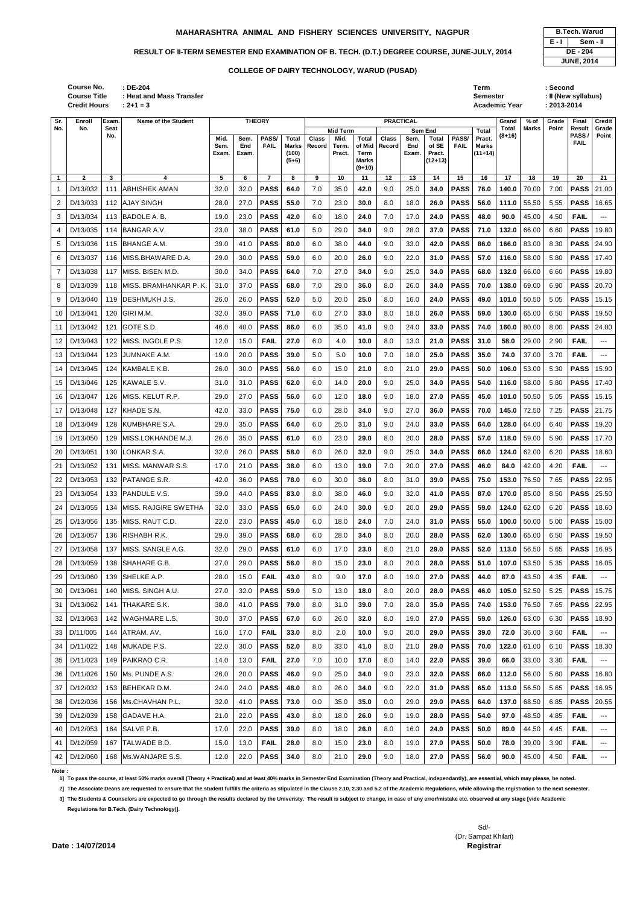| : DE-204<br>: Heat and Mass Transfer<br>$: 2 + 1 = 3$ |               | Term<br>Semester | Academic Year |        | :Second<br>: II (New syllabus)<br>$: 2013 - 2014$ |       |        |
|-------------------------------------------------------|---------------|------------------|---------------|--------|---------------------------------------------------|-------|--------|
| Name of the Student                                   | <b>THEORY</b> | <b>PRACTICAL</b> | Grand         | $%$ of | Grade                                             | Final | Credit |

| Sr.          | Enroll       | Exam.              | Name of the Student            |                       |                      | <b>THEORY</b>        |                                           |                        |                                     |                                                            | <b>PRACTICAL</b> |                                 |                                       |                      |                                                     | Grand           | $%$ of       | Grade | Final                                 | <b>Credit</b>          |
|--------------|--------------|--------------------|--------------------------------|-----------------------|----------------------|----------------------|-------------------------------------------|------------------------|-------------------------------------|------------------------------------------------------------|------------------|---------------------------------|---------------------------------------|----------------------|-----------------------------------------------------|-----------------|--------------|-------|---------------------------------------|------------------------|
| No.          | No.          | <b>Seat</b><br>No. |                                | Mid.<br>Sem.<br>Exam. | Sem.<br>End<br>Exam. | PASS/<br><b>FAIL</b> | <b>Total</b><br>Marks<br>(100)<br>$(5+6)$ | <b>Class</b><br>Record | Mid Term<br>Mid.<br>Term.<br>Pract. | <b>Total</b><br>of Mid<br>Term<br><b>Marks</b><br>$(9+10)$ | Class<br>Record  | Sem End<br>Sem.<br>End<br>Exam. | Total<br>of SE<br>Pract.<br>$(12+13)$ | PASS/<br><b>FAIL</b> | <b>Total</b><br>Pract.<br><b>Marks</b><br>$(11+14)$ | Total<br>(8+16) | <b>Marks</b> | Point | <b>Result</b><br>PASS/<br><b>FAIL</b> | Grade<br>Point         |
| $\mathbf{1}$ | $\mathbf{2}$ | 3                  | 4                              | 5                     | 6                    | $\overline{7}$       | 8                                         | 9                      | 10                                  | 11                                                         | 12               | 13                              | 14                                    | 15                   | 16                                                  | 17              | 18           | 19    | 20                                    | 21                     |
| 1            | D/13/032     | 111                | <b>ABHISHEK AMAN</b>           | 32.0                  | 32.0                 | <b>PASS</b>          | 64.0                                      | 7.0                    | 35.0                                | 42.0                                                       | 9.0              | 25.0                            | 34.0                                  | <b>PASS</b>          | 76.0                                                | 140.0           | 70.00        | 7.00  | <b>PASS</b>                           | 21.00                  |
| 2            | D/13/033     |                    | 112 AJAY SINGH                 | 28.0                  | 27.0                 | <b>PASS</b>          | 55.0                                      | 7.0                    | 23.0                                | 30.0                                                       | 8.0              | 18.0                            | 26.0                                  | <b>PASS</b>          | 56.0                                                | 111.0           | 55.50        | 5.55  | <b>PASS</b>                           | 16.65                  |
| 3            | D/13/034     |                    | 113 BADOLE A. B.               | 19.0                  | 23.0                 | <b>PASS</b>          | 42.0                                      | 6.0                    | 18.0                                | 24.0                                                       | 7.0              | 17.0                            | 24.0                                  | <b>PASS</b>          | 48.0                                                | 90.0            | 45.00        | 4.50  | <b>FAIL</b>                           | ---                    |
| 4            | D/13/035     |                    | 114 BANGAR A.V.                | 23.0                  | 38.0                 | <b>PASS</b>          | 61.0                                      | 5.0                    | 29.0                                | 34.0                                                       | 9.0              | 28.0                            | 37.0                                  | <b>PASS</b>          | 71.0                                                | 132.0           | 66.00        | 6.60  | <b>PASS</b>                           | 19.80                  |
| 5            | D/13/036     |                    | 115 BHANGE A.M.                | 39.0                  | 41.0                 | <b>PASS</b>          | 80.0                                      | 6.0                    | 38.0                                | 44.0                                                       | 9.0              | 33.0                            | 42.0                                  | <b>PASS</b>          | 86.0                                                | 166.0           | 83.00        | 8.30  | <b>PASS</b>                           | 24.90                  |
| 6            | D/13/037     |                    | 116 MISS.BHAWARE D.A.          | 29.0                  | 30.0                 | <b>PASS</b>          | 59.0                                      | 6.0                    | 20.0                                | 26.0                                                       | 9.0              | 22.0                            | 31.0                                  | <b>PASS</b>          | 57.0                                                | 116.0           | 58.00        | 5.80  | <b>PASS</b>                           | 17.40                  |
| 7            | D/13/038     | 117                | MISS. BISEN M.D.               | 30.0                  | 34.0                 | <b>PASS</b>          | 64.0                                      | 7.0                    | 27.0                                | 34.0                                                       | 9.0              | 25.0                            | 34.0                                  | <b>PASS</b>          | 68.0                                                | 132.0           | 66.00        | 6.60  | <b>PASS</b>                           | 19.80                  |
| 8            | D/13/039     | 118                | <b>IMISS. BRAMHANKAR P. K.</b> | 31.0                  | 37.0                 | <b>PASS</b>          | 68.0                                      | 7.0                    | 29.0                                | 36.0                                                       | 8.0              | 26.0                            | 34.0                                  | <b>PASS</b>          | 70.0                                                | 138.0           | 69.00        | 6.90  | <b>PASS</b>                           | 20.70                  |
| 9            | D/13/040     | 119                | DESHMUKH J.S.                  | 26.0                  | 26.0                 | <b>PASS</b>          | 52.0                                      | 5.0                    | 20.0                                | 25.0                                                       | 8.0              | 16.0                            | 24.0                                  | <b>PASS</b>          | 49.0                                                | 101.0           | 50.50        | 5.05  | <b>PASS</b>                           | 15.15                  |
| 10           | D/13/041     | 120                | <b>GIRI M.M.</b>               | 32.0                  | 39.0                 | <b>PASS</b>          | 71.0                                      | 6.0                    | 27.0                                | 33.0                                                       | 8.0              | 18.0                            | 26.0                                  | <b>PASS</b>          | 59.0                                                | 130.0           | 65.00        | 6.50  | <b>PASS</b>                           | 19.50                  |
| 11           | D/13/042     | 121                | <b>GOTE S.D.</b>               | 46.0                  | 40.0                 | <b>PASS</b>          | 86.0                                      | 6.0                    | 35.0                                | 41.0                                                       | 9.0              | 24.0                            | 33.0                                  | <b>PASS</b>          | 74.0                                                | 160.0           | 80.00        | 8.00  | <b>PASS</b>                           | 24.00                  |
| 12           | D/13/043     | 122                | MISS. INGOLE P.S.              | 12.0                  | 15.0                 | <b>FAIL</b>          | 27.0                                      | 6.0                    | 4.0                                 | 10.0                                                       | 8.0              | 13.0                            | 21.0                                  | <b>PASS</b>          | 31.0                                                | 58.0            | 29.00        | 2.90  | <b>FAIL</b>                           | $\qquad \qquad -$      |
| 13           | D/13/044     | 123                | JUMNAKE A.M.                   | 19.0                  | 20.0                 | <b>PASS</b>          | 39.0                                      | 5.0                    | 5.0                                 | 10.0                                                       | 7.0              | 18.0                            | 25.0                                  | <b>PASS</b>          | 35.0                                                | 74.0            | 37.00        | 3.70  | <b>FAIL</b>                           | ---                    |
| 14           | D/13/045     |                    | 124 KAMBALE K.B.               | 26.0                  | 30.0                 | <b>PASS</b>          | 56.0                                      | 6.0                    | 15.0                                | 21.0                                                       | 8.0              | 21.0                            | 29.0                                  | <b>PASS</b>          | 50.0                                                | 106.0           | 53.00        | 5.30  | <b>PASS</b>                           | 15.90                  |
| 15           | D/13/046     |                    | 125 KAWALE S.V.                | 31.0                  | 31.0                 | <b>PASS</b>          | 62.0                                      | 6.0                    | 14.0                                | 20.0                                                       | 9.0              | 25.0                            | 34.0                                  | <b>PASS</b>          | 54.0                                                | 116.0           | 58.00        | 5.80  | <b>PASS</b>                           | 17.40                  |
| 16           | D/13/047     | 126                | MISS. KELUT R.P.               | 29.0                  | 27.0                 | <b>PASS</b>          | 56.0                                      | 6.0                    | 12.0                                | 18.0                                                       | 9.0              | 18.0                            | 27.0                                  | <b>PASS</b>          | 45.0                                                | 101.0           | 50.50        | 5.05  | <b>PASS</b>                           | 15.15                  |
| 17           | D/13/048     | 127                | KHADE S.N.                     | 42.0                  | 33.0                 | <b>PASS</b>          | 75.0                                      | 6.0                    | 28.0                                | 34.0                                                       | 9.0              | 27.0                            | 36.0                                  | <b>PASS</b>          | 70.0                                                | 145.0           | 72.50        | 7.25  | <b>PASS</b>                           | 21.75                  |
| 18           | D/13/049     | 128                | IKUMBHARE S.A.                 | 29.0                  | 35.0                 | <b>PASS</b>          | 64.0                                      | 6.0                    | 25.0                                | 31.0                                                       | 9.0              | 24.0                            | 33.0                                  | <b>PASS</b>          | 64.0                                                | 128.0           | 64.00        | 6.40  | <b>PASS</b>                           | 19.20                  |
| 19           | D/13/050     | 129                | <b>IMISS.LOKHANDE M.J.</b>     | 26.0                  | 35.0                 | <b>PASS</b>          | 61.0                                      | 6.0                    | 23.0                                | 29.0                                                       | 8.0              | 20.0                            | 28.0                                  | <b>PASS</b>          | 57.0                                                | 118.0           | 59.00        | 5.90  | <b>PASS</b>                           | 17.70                  |
| 20           | D/13/051     |                    | 130 LONKAR S.A.                | 32.0                  | 26.0                 | <b>PASS</b>          | 58.0                                      | 6.0                    | 26.0                                | 32.0                                                       | 9.0              | 25.0                            | 34.0                                  | <b>PASS</b>          | 66.0                                                | 124.0           | 62.00        | 6.20  | <b>PASS</b>                           | 18.60                  |
| 21           | D/13/052     | 131                | MISS. MANWAR S.S.              | 17.0                  | 21.0                 | <b>PASS</b>          | 38.0                                      | 6.0                    | 13.0                                | 19.0                                                       | 7.0              | 20.0                            | 27.0                                  | <b>PASS</b>          | 46.0                                                | 84.0            | 42.00        | 4.20  | <b>FAIL</b>                           | $\qquad \qquad - -$    |
| 22           | D/13/053     | 132                | <b>PATANGE S.R.</b>            | 42.0                  | 36.0                 | <b>PASS</b>          | 78.0                                      | 6.0                    | 30.0                                | 36.0                                                       | 8.0              | 31.0                            | 39.0                                  | <b>PASS</b>          | 75.0                                                | 153.0           | 76.50        | 7.65  | <b>PASS</b>                           | 22.95                  |
| 23           | D/13/054     | 133                | <b>PANDULE V.S.</b>            | 39.0                  | 44.0                 | <b>PASS</b>          | 83.0                                      | 8.0                    | 38.0                                | 46.0                                                       | 9.0              | 32.0                            | 41.0                                  | <b>PASS</b>          | 87.0                                                | 170.0           | 85.00        | 8.50  | <b>PASS</b>                           | 25.50                  |
| 24           | D/13/055     | 134                | MISS. RAJGIRE SWETHA           | 32.0                  | 33.0                 | <b>PASS</b>          | 65.0                                      | 6.0                    | 24.0                                | 30.0                                                       | 9.0              | 20.0                            | 29.0                                  | <b>PASS</b>          | 59.0                                                | 124.0           | 62.00        | 6.20  | <b>PASS</b>                           | 18.60                  |
| 25           | D/13/056     | 135                | MISS. RAUT C.D.                | 22.0                  | 23.0                 | <b>PASS</b>          | 45.0                                      | 6.0                    | 18.0                                | 24.0                                                       | 7.0              | 24.0                            | 31.0                                  | <b>PASS</b>          | 55.0                                                | 100.0           | 50.00        | 5.00  | <b>PASS</b>                           | 15.00                  |
| 26           | D/13/057     | 136                | RISHABH R.K.                   | 29.0                  | 39.0                 | <b>PASS</b>          | 68.0                                      | 6.0                    | 28.0                                | 34.0                                                       | 8.0              | 20.0                            | 28.0                                  | <b>PASS</b>          | 62.0                                                | 130.0           | 65.00        | 6.50  | <b>PASS</b>                           | 19.50                  |
| 27           | D/13/058     | 137                | MISS. SANGLE A.G.              | 32.0                  | 29.0                 | <b>PASS</b>          | 61.0                                      | 6.0                    | 17.0                                | 23.0                                                       | 8.0              | 21.0                            | 29.0                                  | <b>PASS</b>          | 52.0                                                | 113.0           | 56.50        | 5.65  | <b>PASS</b>                           | 16.95                  |
| 28           | D/13/059     | 138                | SHAHARE G.B.                   | 27.0                  | 29.0                 | <b>PASS</b>          | 56.0                                      | 8.0                    | 15.0                                | 23.0                                                       | 8.0              | 20.0                            | 28.0                                  | <b>PASS</b>          | 51.0                                                | 107.0           | 53.50        | 5.35  | <b>PASS</b>                           | 16.05                  |
| 29           | D/13/060     | 139                | SHELKE A.P.                    | 28.0                  | 15.0                 | <b>FAIL</b>          | 43.0                                      | 8.0                    | 9.0                                 | 17.0                                                       | 8.0              | 19.0                            | 27.0                                  | <b>PASS</b>          | 44.0                                                | 87.0            | 43.50        | 4.35  | <b>FAIL</b>                           | ---                    |
| 30           | D/13/061     |                    | 140 MISS. SINGH A.U.           | 27.0                  | 32.0                 | <b>PASS</b>          | 59.0                                      | 5.0                    | 13.0                                | 18.0                                                       | 8.0              | 20.0                            | 28.0                                  | <b>PASS</b>          | 46.0                                                | 105.0           | 52.50        | 5.25  | <b>PASS</b>                           | 15.75                  |
| 31           | D/13/062     | 141                | THAKARE S.K.                   | 38.0                  | 41.0                 | <b>PASS</b>          | 79.0                                      | 8.0                    | 31.0                                | 39.0                                                       | 7.0              | 28.0                            | 35.0                                  | <b>PASS</b>          | 74.0                                                | 153.0           | 76.50        | 7.65  | <b>PASS</b>                           | 22.95                  |
| 32           | D/13/063     |                    | 142   WAGHMARE L.S.            | 30.0                  | 37.0                 | <b>PASS</b>          | 67.0                                      | 6.0                    | 26.0                                | 32.0                                                       | 8.0              | 19.0                            | 27.0                                  | <b>PASS</b>          | 59.0                                                | 126.0           | 63.00        | 6.30  | <b>PASS</b>                           | 18.90                  |
| 33           | D/11/005     |                    | 144 ATRAM. AV.                 | 16.0                  | 17.0                 | <b>FAIL</b>          | 33.0                                      | 8.0                    | 2.0                                 | 10.0                                                       | 9.0              | 20.0                            | 29.0                                  | <b>PASS</b>          | 39.0                                                | 72.0            | 36.00        | 3.60  | <b>FAIL</b>                           | $\qquad \qquad \cdots$ |
| 34           | D/11/022     |                    | 148 MUKADE P.S.                | 22.0                  | 30.0                 | <b>PASS</b>          | 52.0                                      | 8.0                    | 33.0                                | 41.0                                                       | 8.0              | 21.0                            | 29.0                                  | <b>PASS</b>          | 70.0                                                | 122.0           | 61.00        | 6.10  | <b>PASS</b>                           | 18.30                  |
| 35           | D/11/023     |                    | 149   PAIKRAO C.R.             | 14.0                  | 13.0                 | <b>FAIL</b>          | 27.0                                      | 7.0                    | 10.0                                | 17.0                                                       | 8.0              | 14.0                            | 22.0                                  | <b>PASS</b>          | 39.0                                                | 66.0            | 33.00        | 3.30  | <b>FAIL</b>                           | ---                    |
| 36           | D/11/026     |                    | 150   Ms. PUNDE A.S.           | 26.0                  | 20.0                 | <b>PASS</b>          | 46.0                                      | 9.0                    | 25.0                                | 34.0                                                       | 9.0              | 23.0                            | 32.0                                  | <b>PASS</b>          | 66.0                                                | 112.0           | 56.00        | 5.60  | <b>PASS</b>                           | 16.80                  |

|       | <b>B.Tech. Warud</b> |
|-------|----------------------|
| E - I | Sem - II             |
|       | DE - 204             |
|       | <b>JUNE, 2014</b>    |

| 37 I | D/12/032 | 153 BEHEKAR D.M.      | 24.0 | 24.0 | l PASS      | 48.0 | 8.0 | 26.0 | 34.0 | 9.0 | 22.0 |      | 31.0 PASS     | 65.0 |      | $113.0$ 56.50 |      | 5.65 <b>PASS</b>         | 16.95 |
|------|----------|-----------------------|------|------|-------------|------|-----|------|------|-----|------|------|---------------|------|------|---------------|------|--------------------------|-------|
| 38 l | D/12/036 | 156   Ms.CHAVHAN P.L. | 32.0 | 41.0 | <b>PASS</b> | 73.0 | 0.0 | 35.0 | 35.0 | 0.0 | 29.0 | 29.0 | <b>IPASSI</b> | 64.0 |      | 137.0 68.50   | 6.85 | $\textsf{PASS} \, 20.55$ |       |
| 39   | D/12/039 | 158 IGADAVE H.A.      | 21.0 | 22.0 | l PASS      | 43.0 | 8.0 | 18.0 | 26.0 | 9.0 | 19.0 | 28.0 | <b>IPASSI</b> | 54.0 | 97.0 | 48.50         | 4.85 | <b>FAIL</b>              |       |
| 40   | D/12/053 | 164 ISALVE P.B.       | 17.0 | 22.0 | <b>PASS</b> | 39.0 | 8.0 | 18.0 | 26.0 | 8.0 | 16.0 | 24.0 | <b>PASS</b>   | 50.0 | 89.0 | 44.50         | 4.45 | <b>FAIL</b>              |       |
| 41   | D/12/059 | 167 TALWADE B.D.      | 15.0 | 13.0 | <b>FAIL</b> | 28.0 | 8.0 | 15.0 | 23.0 | 8.0 | 19.0 | 27.0 | <b>PASS</b>   | 50.0 | 78.0 | 39.00         | 3.90 | <b>FAIL</b>              |       |
| 42   | D/12/060 | 168 Ms.WANJARE S.S.   | 12.0 | 22.0 | <b>PASS</b> | 34.0 | 8.0 | 21.0 | 29.0 | 9.0 | 18.0 | 27.0 | I PASS I      | 56.0 | 90.0 | 45.00         | 4.50 | <b>FAIL</b>              | $---$ |

**Note :** 

**1] To pass the course, at least 50% marks overall (Theory + Practical) and at least 40% marks in Semester End Examination (Theory and Practical, independantly), are essential, which may please, be noted.**

**2] The Associate Deans are requested to ensure that the student fulfills the criteria as stipulated in the Clause 2.10, 2.30 and 5.2 of the Academic Regulations, while allowing the registration to the next semester.**

**3] The Students & Counselors are expected to go through the results declared by the Univeristy. The result is subject to change, in case of any error/mistake etc. observed at any stage [vide Academic** 

**Regulations for B.Tech. (Dairy Technology)].**

Sd/- (Dr. Sampat Khilari)

**Date : 14/07/2014** Registrar

**Course Title : Heat and Mass Transfer Credit Hours Course No.**

## **COLLEGE OF DAIRY TECHNOLOGY, WARUD (PUSAD)**

## **MAHARASHTRA ANIMAL AND FISHERY SCIENCES UNIVERSITY, NAGPUR B.Tech. Warud**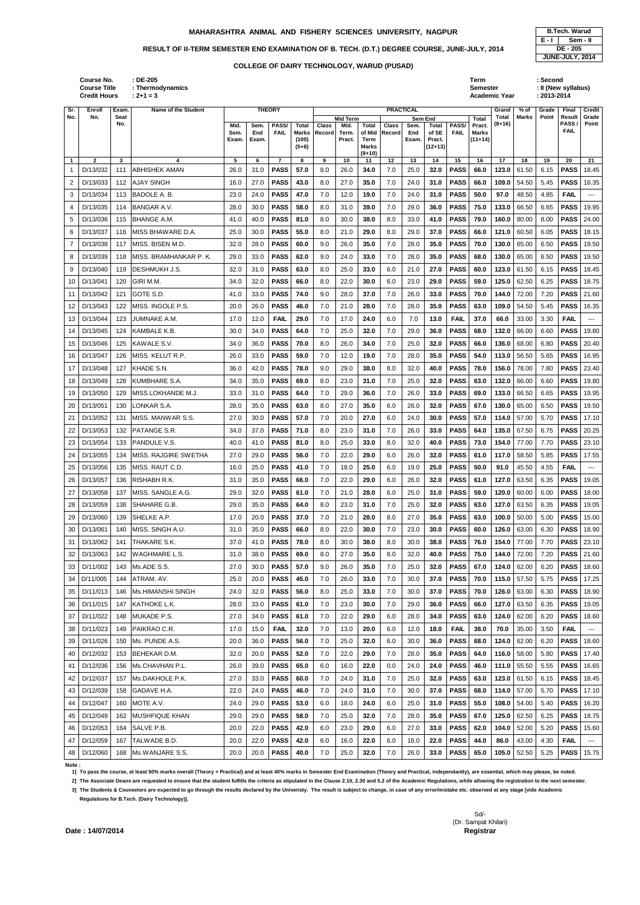## **MAHARASHTRA ANIMAL AND FISHERY SCIENCES UNIVERSITY, NAGPUR B.Tech. Warud <b>B.Tech. Warud**

## RESULT OF II-TERM SEMESTER END EXAMINATION OF B. TECH. (D.T.) DEGREE COURSE, JUNE-JULY, 2014 **DE - 205**

|              |              |     |                        | схаш. | схань |                | (100)<br>$(5+6)$ |         | Pract. | rerm<br>Marks  |     | схан. н | <b>Pract.</b><br>$(12+13)$ |             | III+14) |       |       |      |             |       |
|--------------|--------------|-----|------------------------|-------|-------|----------------|------------------|---------|--------|----------------|-----|---------|----------------------------|-------------|---------|-------|-------|------|-------------|-------|
| $\mathbf{1}$ | $\mathbf{2}$ | 3   | 4                      | 5     | 6     | $\overline{7}$ | 8                | 9       | 10     | $(9+10)$<br>11 | 12  | 13      | 14                         | 15          | 16      | 17    | 18    | 19   | 20          | 21    |
| 1            | D/13/032     | 111 | <b>ABHISHEK AMAN</b>   | 26.0  | 31.0  | <b>PASS</b>    | 57.0             | 8.0     | 26.0   | 34.0           | 7.0 | 25.0    | 32.0                       | <b>PASS</b> | 66.0    | 123.0 | 61.50 | 6.15 | <b>PASS</b> | 18.45 |
|              | D/13/033     | 112 | AJAY SINGH             | 16.0  | 27.0  | <b>PASS</b>    | 43.0             | 8.0     | 27.0   | 35.0           | 7.0 | 24.0    | 31.0                       | <b>PASS</b> | 66.0    | 109.0 | 54.50 | 5.45 | <b>PASS</b> | 16.35 |
| 3            | D/13/034     | 113 | BADOLE A. B.           | 23.0  | 24.0  | <b>PASS</b>    | 47.0             | 7.0     | 12.0   | 19.0           | 7.0 | 24.0    | 31.0                       | <b>PASS</b> | 50.0    | 97.0  | 48.50 | 4.85 | <b>FAIL</b> | ---   |
| 4            | D/13/035     | 114 | IBANGAR A.V.           | 28.0  | 30.0  | <b>PASS</b>    | 58.0             | 8.0     | 31.0   | 39.0           | 7.0 | 29.0    | 36.0                       | <b>PASS</b> | 75.0    | 133.0 | 66.50 | 6.65 | <b>PASS</b> | 19.95 |
| 5            | D/13/036     | 115 | IBHANGE A.M.           | 41.0  | 40.0  | <b>PASS</b>    | 81.0             | 8.0     | 30.0   | 38.0           | 8.0 | 33.0    | 41.0                       | <b>PASS</b> | 79.0    | 160.0 | 80.00 | 8.00 | <b>PASS</b> | 24.00 |
| 6            | D/13/037     | 116 | MISS.BHAWARE D.A.      | 25.0  | 30.0  | <b>PASS</b>    | 55.0             | 8.0     | 21.0   | 29.0           | 8.0 | 29.0    | 37.0                       | <b>PASS</b> | 66.0    | 121.0 | 60.50 | 6.05 | <b>PASS</b> | 18.15 |
| 7            | D/13/038     | 117 | MISS. BISEN M.D.       | 32.0  | 28.0  | <b>PASS</b>    | 60.0             | 9.0     | 26.0   | 35.0           | 7.0 | 28.0    | 35.0                       | <b>PASS</b> | 70.0    | 130.0 | 65.00 | 6.50 | <b>PASS</b> | 19.50 |
| 8            | D/13/039     | 118 | MISS. BRAMHANKAR P. K. | 29.0  | 33.0  | <b>PASS</b>    | 62.0             | 9.0     | 24.0   | 33.0           | 7.0 | 28.0    | 35.0                       | <b>PASS</b> | 68.0    | 130.0 | 65.00 | 6.50 | <b>PASS</b> | 19.50 |
| 9            | D/13/040     | 119 | <b>DESHMUKH J.S.</b>   | 32.0  | 31.0  | <b>PASS</b>    | 63.0             | 8.0     | 25.0   | 33.0           | 6.0 | 21.0    | 27.0                       | <b>PASS</b> | 60.0    | 123.0 | 61.50 | 6.15 | <b>PASS</b> | 18.45 |
| 10           | D/13/041     | 120 | GIRI M.M.              | 34.0  | 32.0  | <b>PASS</b>    | 66.0             | 8.0     | 22.0   | 30.0           | 6.0 | 23.0    | 29.0                       | <b>PASS</b> | 59.0    | 125.0 | 62.50 | 6.25 | <b>PASS</b> | 18.75 |
| 11           | D/13/042     | 121 | GOTE S.D.              | 41.0  | 33.0  | <b>PASS</b>    | 74.0             | 9.0     | 28.0   | 37.0           | 7.0 | 26.0    | 33.0                       | <b>PASS</b> | 70.0    | 144.0 | 72.00 | 7.20 | <b>PASS</b> | 21.60 |
| 12           | D/13/043     | 122 | IMISS. INGOLE P.S.     | 20.0  | 26.0  | <b>PASS</b>    | 46.0             | 7.0     | 21.0   | 28.0           | 7.0 | 28.0    | 35.0                       | <b>PASS</b> | 63.0    | 109.0 | 54.50 | 5.45 | <b>PASS</b> | 16.35 |
| 13           | D/13/044     | 123 | JUMNAKE A.M.           | 17.0  | 12.0  | <b>FAIL</b>    | 29.0             | 7.0     | 17.0   | 24.0           | 6.0 | 7.0     | 13.0                       | <b>FAIL</b> | 37.0    | 66.0  | 33.00 | 3.30 | <b>FAIL</b> | ---   |
| 14           | D/13/045     | 124 | KAMBALE K.B.           | 30.0  | 34.0  | <b>PASS</b>    | 64.0             | 7.0     | 25.0   | 32.0           | 7.0 | 29.0    | 36.0                       | <b>PASS</b> | 68.0    | 132.0 | 66.00 | 6.60 | <b>PASS</b> | 19.80 |
| 15           | D/13/046     | 125 | KAWALE S.V.            | 34.0  | 36.0  | <b>PASS</b>    | 70.0             | 8.0     | 26.0   | 34.0           | 7.0 | 25.0    | 32.0                       | <b>PASS</b> | 66.0    | 136.0 | 68.00 | 6.80 | <b>PASS</b> | 20.40 |
| 16           | D/13/047     | 126 | MISS. KELUT R.P.       | 26.0  | 33.0  | <b>PASS</b>    | 59.0             | 7.0     | 12.0   | 19.0           | 7.0 | 28.0    | 35.0                       | <b>PASS</b> | 54.0    | 113.0 | 56.50 | 5.65 | <b>PASS</b> | 16.95 |
| 17           | D/13/048     | 127 | KHADE S.N.             | 36.0  | 42.0  | <b>PASS</b>    | 78.0             | 9.0     | 29.0   | 38.0           | 8.0 | 32.0    | 40.0                       | <b>PASS</b> | 78.0    | 156.0 | 78.00 | 7.80 | <b>PASS</b> | 23.40 |
| 18           | D/13/049     | 128 | IKUMBHARE S.A.         | 34.0  | 35.0  | <b>PASS</b>    | 69.0             | 8.0     | 23.0   | 31.0           | 7.0 | 25.0    | 32.0                       | <b>PASS</b> | 63.0    | 132.0 | 66.00 | 6.60 | <b>PASS</b> | 19.80 |
| 19           | D/13/050     | 129 | MISS.LOKHANDE M.J.     | 33.0  | 31.0  | <b>PASS</b>    | 64.0             | 7.0     | 29.0   | 36.0           | 7.0 | 26.0    | 33.0                       | <b>PASS</b> | 69.0    | 133.0 | 66.50 | 6.65 | <b>PASS</b> | 19.95 |
| 20           | D/13/051     | 130 | LONKAR S.A.            | 28.0  | 35.0  | <b>PASS</b>    | 63.0             | 8.0     | 27.0   | 35.0           | 6.0 | 26.0    | 32.0                       | <b>PASS</b> | 67.0    | 130.0 | 65.00 | 6.50 | <b>PASS</b> | 19.50 |
| 21           | D/13/052     | 131 | MISS. MANWAR S.S.      | 27.0  | 30.0  | <b>PASS</b>    | 57.0             | 7.0     | 20.0   | 27.0           | 6.0 | 24.0    | 30.0                       | <b>PASS</b> | 57.0    | 114.0 | 57.00 | 5.70 | <b>PASS</b> | 17.10 |
| 22           | D/13/053     | 132 | PATANGE S.R.           | 34.0  | 37.0  | <b>PASS</b>    | 71.0             | 8.0     | 23.0   | 31.0           | 7.0 | 26.0    | 33.0                       | <b>PASS</b> | 64.0    | 135.0 | 67.50 | 6.75 | <b>PASS</b> | 20.25 |
| 23           | D/13/054     | 133 | IPANDULE V.S.          | 40.0  | 41.0  | <b>PASS</b>    | 81.0             | 8.0     | 25.0   | 33.0           | 8.0 | 32.0    | 40.0                       | <b>PASS</b> | 73.0    | 154.0 | 77.00 | 7.70 | <b>PASS</b> | 23.10 |
| 24           | D/13/055     | 134 | MISS. RAJGIRE SWETHA   | 27.0  | 29.0  | <b>PASS</b>    | 56.0             | 7.0     | 22.0   | 29.0           | 6.0 | 26.0    | 32.0                       | <b>PASS</b> | 61.0    | 117.0 | 58.50 | 5.85 | <b>PASS</b> | 17.55 |
| 25           | D/13/056     | 135 | MISS. RAUT C.D.        | 16.0  | 25.0  | <b>PASS</b>    | 41.0             | 7.0     | 18.0   | 25.0           | 6.0 | 19.0    | 25.0                       | <b>PASS</b> | 50.0    | 91.0  | 45.50 | 4.55 | <b>FAIL</b> | ---   |
| 26           | D/13/057     |     | 136 RISHABH R.K.       | 31.0  | 35.0  | <b>PASS</b>    | 66.0             | $7.0\,$ | 22.0   | 29.0           | 6.0 | 26.0    | 32.0                       | <b>PASS</b> | 61.0    | 127.0 | 63.50 | 6.35 | <b>PASS</b> | 19.05 |
| 27           | D/13/058     | 137 | MISS. SANGLE A.G.      | 29.0  | 32.0  | <b>PASS</b>    | 61.0             | 7.0     | 21.0   | 28.0           | 6.0 | 25.0    | 31.0                       | <b>PASS</b> | 59.0    | 120.0 | 60.00 | 6.00 | PASS        | 18.00 |
| 28           | D/13/059     | 138 | SHAHARE G.B.           | 29.0  | 35.0  | <b>PASS</b>    | 64.0             | 8.0     | 23.0   | 31.0           | 7.0 | 25.0    | 32.0                       | <b>PASS</b> | 63.0    | 127.0 | 63.50 | 6.35 | <b>PASS</b> | 19.05 |
| 29           | D/13/060     | 139 | SHELKE A.P.            | 17.0  | 20.0  | <b>PASS</b>    | 37.0             | 7.0     | 21.0   | 28.0           | 8.0 | 27.0    | 35.0                       | <b>PASS</b> | 63.0    | 100.0 | 50.00 | 5.00 | <b>PASS</b> | 15.00 |
| 30           | D/13/061     | 140 | MISS. SINGH A.U.       | 31.0  | 35.0  | <b>PASS</b>    | 66.0             | 8.0     | 22.0   | 30.0           | 7.0 | 23.0    | 30.0                       | <b>PASS</b> | 60.0    | 126.0 | 63.00 | 6.30 | <b>PASS</b> | 18.90 |
| 31           | D/13/062     | 141 | THAKARE S.K.           | 37.0  | 41.0  | <b>PASS</b>    | 78.0             | 8.0     | 30.0   | 38.0           | 8.0 | 30.0    | 38.0                       | <b>PASS</b> | 76.0    | 154.0 | 77.00 | 7.70 | <b>PASS</b> | 23.10 |
| 32           | D/13/063     | 142 | WAGHMARE L.S.          | 31.0  | 38.0  | <b>PASS</b>    | 69.0             | 8.0     | 27.0   | 35.0           | 8.0 | 32.0    | 40.0                       | <b>PASS</b> | 75.0    | 144.0 | 72.00 | 7.20 | <b>PASS</b> | 21.60 |
| 33           | D/11/002     | 143 | Ms.ADE S.S.            | 27.0  | 30.0  | <b>PASS</b>    | 57.0             | 9.0     | 26.0   | 35.0           | 7.0 | 25.0    | 32.0                       | <b>PASS</b> | 67.0    | 124.0 | 62.00 | 6.20 | <b>PASS</b> | 18.60 |
| 34           | D/11/005     | 144 | ATRAM. AV.             | 25.0  | 20.0  | <b>PASS</b>    | 45.0             | 7.0     | 26.0   | 33.0           | 7.0 | 30.0    | 37.0                       | <b>PASS</b> | 70.0    | 115.0 | 57.50 | 5.75 | <b>PASS</b> | 17.25 |
| 35           | D/11/013     | 146 | Ms.HIMANSHI SINGH      | 24.0  | 32.0  | <b>PASS</b>    | 56.0             | 8.0     | 25.0   | 33.0           | 7.0 | 30.0    | 37.0                       | <b>PASS</b> | 70.0    | 126.0 | 63.00 | 6.30 | <b>PASS</b> | 18.90 |
| 36           | D/11/015     | 147 | KATHOKE L.K.           | 28.0  | 33.0  | <b>PASS</b>    | 61.0             | 7.0     | 23.0   | 30.0           | 7.0 | 29.0    | 36.0                       | <b>PASS</b> | 66.0    | 127.0 | 63.50 | 6.35 | <b>PASS</b> | 19.05 |
| 37           | D/11/022     | 148 | <b>MUKADE P.S.</b>     | 27.0  | 34.0  | <b>PASS</b>    | 61.0             | 7.0     | 22.0   | 29.0           | 6.0 | 28.0    | 34.0                       | <b>PASS</b> | 63.0    | 124.0 | 62.00 | 6.20 | <b>PASS</b> | 18.60 |
| 38           | D/11/023     | 149 | PAIKRAO C.R.           | 17.0  | 15.0  | <b>FAIL</b>    | 32.0             | 7.0     | 13.0   | 20.0           | 6.0 | 12.0    | 18.0                       | <b>FAIL</b> | 38.0    | 70.0  | 35.00 | 3.50 | <b>FAIL</b> | ---   |
| 39           | D/11/026     | 150 | Ms. PUNDE A.S.         | 20.0  | 36.0  | <b>PASS</b>    | 56.0             | 7.0     | 25.0   | 32.0           | 6.0 | 30.0    | 36.0                       | <b>PASS</b> | 68.0    | 124.0 | 62.00 | 6.20 | <b>PASS</b> | 18.60 |
| 40           | D/12/032     | 153 | BEHEKAR D.M.           | 32.0  | 20.0  | <b>PASS</b>    | 52.0             | 7.0     | 22.0   | 29.0           | 7.0 | 28.0    | 35.0                       | <b>PASS</b> | 64.0    | 116.0 | 58.00 | 5.80 | <b>PASS</b> | 17.40 |
| 41           | D/12/036     | 156 | Ms.CHAVHAN P.L.        | 26.0  | 39.0  | <b>PASS</b>    | 65.0             | 6.0     | 16.0   | 22.0           | 0.0 | 24.0    | 24.0                       | <b>PASS</b> | 46.0    | 111.0 | 55.50 | 5.55 | <b>PASS</b> | 16.65 |
| 42           | D/12/037     | 157 | Ms.DAKHOLE P.K.        | 27.0  | 33.0  | <b>PASS</b>    | 60.0             | 7.0     | 24.0   | 31.0           | 7.0 | 25.0    | 32.0                       | <b>PASS</b> | 63.0    | 123.0 | 61.50 | 6.15 | <b>PASS</b> | 18.45 |
| 43           | D/12/039     | 158 | <b>GADAVE H.A.</b>     | 22.0  | 24.0  | <b>PASS</b>    | 46.0             | 7.0     | 24.0   | 31.0           | 7.0 | 30.0    | 37.0                       | <b>PASS</b> | 68.0    | 114.0 | 57.00 | 5.70 | <b>PASS</b> | 17.10 |
| 44           | D/12/047     | 160 | MOTE A.V.              | 24.0  | 29.0  | <b>PASS</b>    | 53.0             | 6.0     | 18.0   | 24.0           | 6.0 | 25.0    | 31.0                       | <b>PASS</b> | 55.0    | 108.0 | 54.00 | 5.40 | <b>PASS</b> | 16.20 |
| 45           | D/12/049     | 162 | <b>MUSHFIQUE KHAN</b>  | 29.0  | 29.0  | <b>PASS</b>    | 58.0             | 7.0     | 25.0   | 32.0           | 7.0 | 28.0    | 35.0                       | <b>PASS</b> | 67.0    | 125.0 | 62.50 | 6.25 | <b>PASS</b> | 18.75 |
| 46           | D/12/053     | 164 | SALVE P.B.             | 20.0  | 22.0  | <b>PASS</b>    | 42.0             | 6.0     | 23.0   | 29.0           | 6.0 | 27.0    | 33.0                       | <b>PASS</b> | 62.0    | 104.0 | 52.00 | 5.20 | <b>PASS</b> | 15.60 |
| 47           | D/12/059     | 167 | TALWADE B.D.           | 20.0  | 22.0  | <b>PASS</b>    | 42.0             | 6.0     | 16.0   | 22.0           | 6.0 | 16.0    | 22.0                       | <b>PASS</b> | 44.0    | 86.0  | 43.00 | 4.30 | <b>FAIL</b> | $---$ |
| 48           | D/12/060     | 168 | Ms.WANJARE S.S.        | 20.0  | 20.0  | <b>PASS</b>    | 40.0             | 7.0     | 25.0   | 32.0           | 7.0 | 26.0    | 33.0                       | <b>PASS</b> | 65.0    | 105.0 | 52.50 | 5.25 | <b>PASS</b> | 15.75 |

|     | Course No.<br><b>Course Title</b><br><b>Credit Hours</b> |       | : DE-205<br>: Thermodynamics<br>$: 2 + 1 = 3$ |       |       |               |              |              |                 |              |                  |         |           |              | Term<br>Semester<br><b>Academic Year</b> |          |       | : Second<br>$: 2013 - 2014$ | : II (New syllabus) |               |
|-----|----------------------------------------------------------|-------|-----------------------------------------------|-------|-------|---------------|--------------|--------------|-----------------|--------------|------------------|---------|-----------|--------------|------------------------------------------|----------|-------|-----------------------------|---------------------|---------------|
| Sr. | Enroll                                                   | Exam. | Name of the Student                           |       |       | <b>THEORY</b> |              |              |                 |              | <b>PRACTICAL</b> |         |           |              |                                          | Grand    | % of  | Grade                       | <b>Final</b>        | <b>Credit</b> |
| No. | No.                                                      | Seat  |                                               |       |       |               |              |              | <b>Mid Term</b> |              |                  | Sem End |           |              | Total                                    | Total    | Marks | Point                       | Result              | Grade         |
|     |                                                          | No.   |                                               | Mid.  | Sem.  | PASS/         | <b>Total</b> | <b>Class</b> | Mid.            | <b>Total</b> | <b>Class</b>     | Sem.    | Total     | <b>PASS/</b> | Pract.                                   | $(8+16)$ |       |                             | PASS/               | Point         |
|     |                                                          |       |                                               | Sem.  | End   | <b>FAIL</b>   |              | Marks Record | Term.           |              | of Mid   Record  | End     | of SE     | <b>FAIL</b>  | Marks                                    |          |       |                             | <b>FAIL</b>         |               |
|     |                                                          |       |                                               | Exam. | Exam. |               | (100)        |              | Pract.          | <b>Term</b>  |                  | Exam.   | Pract.    |              | $(11+14)$                                |          |       |                             |                     |               |
|     |                                                          |       |                                               |       |       |               | $(5+6)$      |              |                 | Marks        |                  |         | $(12+13)$ |              |                                          |          |       |                             |                     |               |
|     |                                                          |       |                                               |       |       |               |              |              |                 | $(9+10)$     |                  |         |           |              |                                          |          |       |                             |                     |               |
|     |                                                          |       |                                               |       | 6     |               | 8            |              | 10              | 11           | 12               | 13      | 14        | 15           | 16                                       | 17       | 18    | 19                          | 20                  | 21            |
|     | D/13/032                                                 | 111   | <b>ABHISHEK AMAN</b>                          | 26.0  | 31.0  | <b>PASS</b>   | 57.0         | 8.0          | 26.0            | 34.0         | 7.0              | 25.0    | 32.0      | <b>PASS</b>  | 66.0                                     | 123.0    | 61.50 | 6.15                        | <b>PASS</b>         | 18.45         |
|     | $2$ D/13/033                                             | 112   | <b>AJAY SINGH</b>                             | 16.0  | 27.0  | <b>PASS</b>   | 43.0         | 8.0          | 27.0            | 35.0         | 7.0              | 24.0    | 31.0      | <b>PASS</b>  | 66.0                                     | 109.0    | 54.50 | 5.45                        | <b>PASS</b>         | 16.35         |



**Note :** 

**1] To pass the course, at least 50% marks overall (Theory + Practical) and at least 40% marks in Semester End Examination (Theory and Practical, independantly), are essential, which may please, be noted.**

**2] The Associate Deans are requested to ensure that the student fulfills the criteria as stipulated in the Clause 2.10, 2.30 and 5.2 of the Academic Regulations, while allowing the registration to the next semester.**

**3] The Students & Counselors are expected to go through the results declared by the Univeristy. The result is subject to change, in case of any error/mistake etc. observed at any stage [vide Academic Regulations for B.Tech. (Dairy Technology)].**

> Sd/- (Dr. Sampat Khilari)

**Date: 14/07/2014** 

## **COLLEGE OF DAIRY TECHNOLOGY, WARUD (PUSAD)**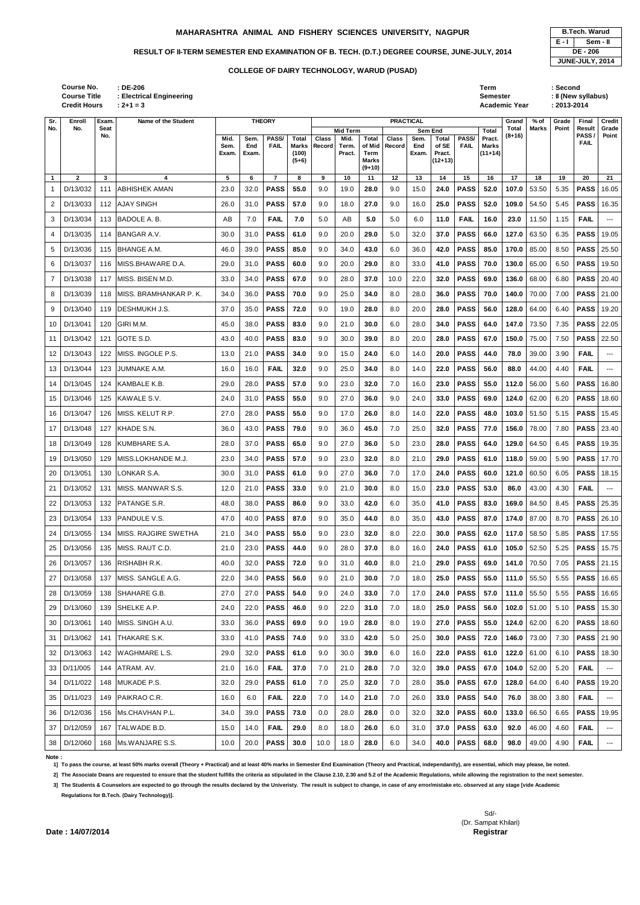| : DE-206<br>: Electrical Engineering<br>$: 2 + 1 = 3$ |      |      |               |       |       |          |              |                                          |      |              |              | Term<br>Semester | <b>Academic Year</b> |       | :Second<br>$: 2013 - 2014$ | : II (New syllabus) |               |
|-------------------------------------------------------|------|------|---------------|-------|-------|----------|--------------|------------------------------------------|------|--------------|--------------|------------------|----------------------|-------|----------------------------|---------------------|---------------|
| Name of the Student                                   |      |      | <b>THEORY</b> |       |       |          |              | <b>PRACTICAL</b>                         |      |              |              |                  | Grand                | % of  | Grade                      | Final               | <b>Credit</b> |
|                                                       |      |      |               |       |       | Mid Term |              |                                          |      | Sem End      |              | <b>Total</b>     | Total                | Marks | Point                      | Result              | Grade         |
|                                                       | Mid. | Sem. | <b>PASS/</b>  | Total | Class | Mid.     | <b>Total</b> | <b>Class</b>                             | Sem. | <b>Total</b> | <b>PASS/</b> | Pract.           | $(8+16)$             |       |                            | <b>PASS</b>         | Point         |
|                                                       | Sem. | End  | FAIL          |       |       |          |              | Marks   Record   Term.   of Mid   Record | End  | of SE        | <b>FAIL</b>  | <b>Marks</b>     |                      |       |                            | <b>FAIL</b>         |               |

|                | <b>Course Title</b><br><b>Credit Hours</b> |             | : Electrical Engineering<br>$: 2 + 1 = 3$ |               |              |                  |                           |              |                         |                                            |              |                  |                              |             | <b>Semester</b>           | <b>Academic Year</b>     |             | : 2013-2014 | : II (New syllabus)        |                     |
|----------------|--------------------------------------------|-------------|-------------------------------------------|---------------|--------------|------------------|---------------------------|--------------|-------------------------|--------------------------------------------|--------------|------------------|------------------------------|-------------|---------------------------|--------------------------|-------------|-------------|----------------------------|---------------------|
| Sr.            | Enroll                                     | Exam.       | Name of the Student                       |               |              | <b>THEORY</b>    |                           |              |                         |                                            |              | <b>PRACTICAL</b> |                              |             |                           | Grand                    | % of        | Grade       | Final                      | <b>Credit</b>       |
| No.            | No.                                        | Seat<br>No. |                                           | Mid.          | Sem.         | PASS/            | <b>Total</b>              | <b>Class</b> | <b>Mid Term</b><br>Mid. | <b>Total</b>                               | <b>Class</b> | Sem End<br>Sem.  | <b>Total</b>                 | PASS/       | <b>Total</b><br>Pract.    | <b>Total</b><br>$(8+16)$ | Marks       | Point       | Result<br>PASS/            | Grade<br>Point      |
|                |                                            |             |                                           | Sem.<br>Exam. | End<br>Exam. | <b>FAIL</b>      | Marks<br>(100)<br>$(5+6)$ | Record       | Term.<br>Pract.         | of Mid<br>Term<br><b>Marks</b><br>$(9+10)$ | Record       | End<br>Exam.     | of SE<br>Pract.<br>$(12+13)$ | <b>FAIL</b> | <b>Marks</b><br>$(11+14)$ |                          |             |             | <b>FAIL</b>                |                     |
| $\overline{1}$ | $\mathbf{2}$                               | 3           | 4                                         | 5             | 6            | $\overline{7}$   | 8                         | 9            | 10                      | 11                                         | 12           | 13               | 14                           | 15          | 16                        | 17                       | 18          | 19          | 20                         | 21                  |
|                | D/13/032                                   | 111         | <b>ABHISHEK AMAN</b>                      | 23.0          | 32.0         | <b>PASS</b>      | 55.0                      | 9.0          | 19.0                    | 28.0                                       | 9.0          | 15.0             | 24.0                         | <b>PASS</b> | 52.0                      | 107.0                    | 53.50       | 5.35        | <b>PASS</b>                | 16.05               |
| 2              | D/13/033                                   | 112         | <b>AJAY SINGH</b>                         | 26.0          | 31.0         | <b>PASS</b>      | 57.0                      | 9.0          | 18.0                    | 27.0                                       | 9.0          | 16.0             | 25.0                         | <b>PASS</b> | 52.0                      | 109.0                    | 54.50       | 5.45        | <b>PASS</b>                | 16.35               |
| 3              | D/13/034                                   | 113         | BADOLE A. B.                              | AB            | 7.0          | <b>FAIL</b>      | 7.0                       | 5.0          | AB                      | 5.0                                        | $5.0\,$      | 6.0              | 11.0                         | <b>FAIL</b> | 16.0                      | 23.0                     | 11.50       | 1.15        | <b>FAIL</b>                | ---                 |
| 4              | D/13/035                                   | 114         | <b>BANGAR A.V.</b>                        | 30.0          | 31.0         | <b>PASS</b>      | 61.0                      | 9.0          | 20.0                    | 29.0                                       | 5.0          | 32.0             | 37.0                         | <b>PASS</b> | 66.0                      | 127.0                    | 63.50       | 6.35        | <b>PASS</b>                | 19.05               |
| 5              | D/13/036                                   | 115         | <b>BHANGE A.M.</b>                        | 46.0          | 39.0         | <b>PASS</b>      | 85.0                      | 9.0          | 34.0                    | 43.0                                       | 6.0          | 36.0             | 42.0                         | <b>PASS</b> | 85.0                      | 170.0                    | 85.00       | 8.50        | <b>PASS</b>                | 25.50               |
| 6              | D/13/037                                   | 116         | MISS.BHAWARE D.A.                         | 29.0          | 31.0         | <b>PASS</b>      | 60.0                      | 9.0          | 20.0                    | 29.0                                       | 8.0          | 33.0             | 41.0                         | <b>PASS</b> | 70.0                      | 130.0                    | 65.00       | 6.50        | <b>PASS</b>                | 19.50               |
| $\overline{7}$ | D/13/038                                   | 117         | MISS. BISEN M.D.                          | 33.0          | 34.0         | <b>PASS</b>      | 67.0                      | 9.0          | 28.0                    | 37.0                                       | 10.0         | 22.0             | 32.0                         | <b>PASS</b> | 69.0                      | 136.0                    | 68.00       | 6.80        | <b>PASS</b>                | 20.40               |
| 8              | D/13/039                                   | 118         | MISS. BRAMHANKAR P. K.                    | 34.0          | 36.0         | <b>PASS</b>      | 70.0                      | 9.0          | 25.0                    | 34.0                                       | 8.0          | 28.0             | 36.0                         | <b>PASS</b> | 70.0                      | 140.0                    | 70.00       | 7.00        | <b>PASS</b>                | 21.00               |
| 9              | D/13/040                                   | 119         | <b>DESHMUKH J.S.</b>                      | 37.0          | 35.0         | <b>PASS</b>      | 72.0                      | 9.0          | 19.0                    | 28.0                                       | 8.0          | 20.0             | 28.0                         | <b>PASS</b> | 56.0                      | 128.0                    | 64.00       | 6.40        | <b>PASS</b>                | 19.20               |
| 10             | D/13/041                                   | 120         | GIRI M.M.                                 | 45.0          | 38.0         | <b>PASS</b>      | 83.0                      | 9.0          | 21.0                    | 30.0                                       | 6.0          | 28.0             | 34.0                         | <b>PASS</b> | 64.0                      | 147.0                    | 73.50       | 7.35        | <b>PASS</b>                | 22.05               |
| 11             | D/13/042                                   | 121         | <b>GOTE S.D.</b>                          | 43.0          | 40.0         | <b>PASS</b>      | 83.0                      | 9.0          | 30.0                    | 39.0                                       | 8.0          | 20.0             | 28.0                         | <b>PASS</b> | 67.0                      | 150.0                    | 75.00       | 7.50        | <b>PASS</b>                | 22.50               |
| 12             | D/13/043                                   | 122         | MISS. INGOLE P.S.                         | 13.0          | 21.0         | <b>PASS</b>      | 34.0                      | 9.0          | 15.0                    | 24.0                                       | 6.0          | 14.0             | 20.0                         | <b>PASS</b> | 44.0                      | 78.0                     | 39.00       | 3.90        | <b>FAIL</b>                | ---                 |
| 13             | D/13/044                                   | 123         | JUMNAKE A.M.                              | 16.0          | 16.0         | <b>FAIL</b>      | 32.0                      | 9.0          | 25.0                    | 34.0                                       | 8.0          | 14.0             | 22.0                         | <b>PASS</b> | 56.0                      | 88.0                     | 44.00       | 4.40        | <b>FAIL</b>                | ---                 |
| 14             | D/13/045                                   | 124         | KAMBALE K.B.                              | 29.0          | 28.0         | <b>PASS</b>      | 57.0                      | 9.0          | 23.0                    | 32.0                                       | 7.0          | 16.0             | 23.0                         | <b>PASS</b> | 55.0                      | 112.0                    | 56.00       | 5.60        | <b>PASS</b>                | 16.80               |
| 15             | D/13/046                                   | 125         | KAWALE S.V.                               | 24.0          | 31.0         | <b>PASS</b>      | 55.0                      | 9.0          | 27.0                    | 36.0                                       | 9.0          | 24.0             | 33.0                         | <b>PASS</b> | 69.0                      | 124.0                    | 62.00       | 6.20        | <b>PASS</b>                | 18.60               |
| 16             | D/13/047                                   | 126         | MISS. KELUT R.P.                          | 27.0          | 28.0         | <b>PASS</b>      | 55.0                      | 9.0          | 17.0                    | 26.0                                       | 8.0          | 14.0             | 22.0                         | <b>PASS</b> | 48.0                      | 103.0                    | 51.50       | 5.15        | <b>PASS</b>                | 15.45               |
| 17             | D/13/048                                   | 127         | KHADE S.N.                                | 36.0          | 43.0         | <b>PASS</b>      | 79.0                      | 9.0          | 36.0                    | 45.0                                       | 7.0          | 25.0             | 32.0                         | <b>PASS</b> | 77.0                      | 156.0                    | 78.00       | 7.80        | <b>PASS</b>                | 23.40               |
|                | 18 D/13/049                                | 128         | <b>KUMBHARE S.A.</b>                      | 28.0          | 37.0         | <b>PASS</b>      | 65.0                      | 9.0          | 27.0                    | 36.0                                       | 5.0          | 23.0             | 28.0                         | <b>PASS</b> | 64.0                      | 129.0                    | 64.50       | 6.45        | <b>PASS</b>                | 19.35               |
| 19             | D/13/050                                   | 129         | <b>IMISS.LOKHANDE M.J.</b>                | 23.0          | 34.0         | <b>PASS</b>      | 57.0                      | 9.0          | 23.0                    | 32.0                                       | 8.0          | 21.0             | 29.0                         | <b>PASS</b> | 61.0                      | 118.0                    | 59.00       | 5.90        | <b>PASS</b>                | 17.70               |
| 20             | D/13/051                                   | 130         | LONKAR S.A.                               | 30.0          | 31.0         | <b>PASS</b>      | 61.0                      | 9.0          | 27.0                    | 36.0                                       | 7.0          | 17.0             | 24.0                         | <b>PASS</b> | 60.0                      | 121.0                    | 60.50       | 6.05        | <b>PASS</b>                | 18.15               |
| 21             | D/13/052                                   | 131         | MISS. MANWAR S.S.                         | 12.0          | 21.0         | <b>PASS</b>      | 33.0                      | 9.0          | 21.0                    | 30.0                                       | 8.0          | 15.0             | 23.0                         | <b>PASS</b> | 53.0                      | 86.0                     | 43.00       | 4.30        | <b>FAIL</b>                | $\qquad \qquad - -$ |
| 22             | D/13/053                                   |             | 132   PATANGE S.R.                        | 48.0          | 38.0         | <b>PASS</b>      | 86.0                      | 9.0          | 33.0                    | 42.0                                       | 6.0          | 35.0             | 41.0                         | <b>PASS</b> | 83.0                      | 169.0                    | 84.50       | 8.45        | <b>PASS</b>                | 25.35               |
| 23             | D/13/054                                   |             | 133 PANDULE V.S.                          | 47.0          | 40.0         | <b>PASS</b>      | 87.0                      | 9.0          | 35.0                    | 44.0                                       | 8.0          | 35.0             | 43.0                         | <b>PASS</b> | 87.0                      | 174.0                    | 87.00       | 8.70        | <b>PASS</b>                | 26.10               |
|                | 24 D/13/055                                |             | 134   MISS. RAJGIRE SWETHA                | 21.0          | 34.0         | <b>PASS</b> 55.0 |                           | 9.0          | 23.0                    | 32.0                                       | 8.0          | 22.0             |                              |             | 30.0   PASS   62.0        |                          | 117.0 58.50 |             | 5.85   <b>PASS</b>   17.55 |                     |

|       | <b>B.Tech. Warud</b>   |
|-------|------------------------|
| E - I | Sem - II               |
|       | DE - 206               |
|       | <b>JUNE-JULY, 2014</b> |

25 D/13/056 135 MISS. RAUT C.D. 21.0 23.0 **PASS 44.0** 9.0 28.0 **37.0** 8.0 16.0 **24.0 PASS 61.0 105.0** 52.50 5.25 **PASS** 15.75

26 D/13/057 136 RISHABH R.K. 40.0 32.0 **PASS 72.0** 9.0 31.0 **40.0** 8.0 21.0 **29.0 PASS 69.0 141.0** 70.50 7.05 **PASS** 21.15 27 D/13/058 137 MISS. SANGLE A.G. 22.0 34.0 **PASS 56.0** 9.0 21.0 **30.0** 7.0 18.0 **25.0 PASS 55.0 111.0** 55.50 5.55 **PASS** 16.65

28 D/13/059 138 SHAHARE G.B. 27.0 27.0 **PASS 54.0** 9.0 24.0 **33.0** 7.0 17.0 **24.0 PASS 57.0 111.0** 55.50 5.55 **PASS** 16.65 29 D/13/060 139 SHELKE A.P. 24.0 22.0 **PASS 46.0** 9.0 22.0 **31.0** 7.0 18.0 **25.0 PASS 56.0 102.0** 51.00 5.10 **PASS** 15.30 30 D/13/061 140 MISS. SINGH A.U. 33.0 36.0 **PASS 69.0** 9.0 19.0 **28.0** 8.0 19.0 **27.0 PASS 55.0 124.0** 62.00 6.20 **PASS** 18.60

31 D/13/062 141 THAKARE S.K. 33.0 41.0 **PASS 74.0** 9.0 33.0 **42.0** 5.0 25.0 **30.0 PASS 72.0 146.0** 73.00 7.30 **PASS** 21.90 32 D/13/063 142 WAGHMARE L.S. 29.0 32.0 **PASS 61.0** 9.0 30.0 **39.0** 6.0 16.0 **22.0 PASS 61.0 122.0** 61.00 6.10 **PASS** 18.30 33 D/11/005 144 ATRAM. AV. 21.0 16.0 **FAIL 37.0** 7.0 21.0 **28.0** 7.0 32.0 **39.0 PASS 67.0 104.0** 52.00 5.20 **FAIL** ---

|                 | 34 D/11/022 L | 148 IMUKADE P.S.     | 32.0 | 29.0 | <b>PASS</b> | 61.0 | 7.0  | 25.0 | 32.0 | 7.0 | 28.0 | 35.0   PASS   67.0 |      |      | l <b>128.0</b> l 64.00 l |      | 6.40 <b>PASS 1</b> 9.20 |  |
|-----------------|---------------|----------------------|------|------|-------------|------|------|------|------|-----|------|--------------------|------|------|--------------------------|------|-------------------------|--|
| 35 <sup>1</sup> | D/11/023      | 149 PAIKRAO C.R.     | 16.0 | -6.0 | <b>FAIL</b> | 22.0 | 7.0  | 14.0 | 21.0 | 7.0 | 26.0 | 33.0 PASS          | 54.0 | 76.0 | 38.00                    | 3.80 | <b>FAIL</b>             |  |
|                 | 36 D/12/036   | 156 Ms.CHAVHAN P.L.  | 34.0 | 39.0 | <b>PASS</b> | 73.0 | 0.0  | 28.0 | 28.0 | 0.0 | 32.0 | 32.0 PASS          | 60.0 |      | 133.0   66.50            |      | 6.65 <b>PASS</b> 19.95  |  |
| 37 <sup>1</sup> | D/12/059      | 167 ITALWADE B.D.    | 15.0 | 14.0 | <b>FAIL</b> | 29.0 | 8.0  | 18.0 | 26.0 | 6.0 | 31.0 | 37.0 PASS          | 63.0 | 92.0 | 46.00                    | 4.60 | <b>FAIL</b>             |  |
|                 | 38 D/12/060   | 168 IMs.WANJARE S.S. | 10.0 | 20.0 | <b>PASS</b> | 30.0 | 10.0 | 18.0 | 28.0 | 6.0 | 34.0 | 40.0   PASS        | 68.0 | 98.0 | 49.00                    | 4.90 | <b>FAIL</b>             |  |

## **Note :**

**1] To pass the course, at least 50% marks overall (Theory + Practical) and at least 40% marks in Semester End Examination (Theory and Practical, independantly), are essential, which may please, be noted.**

**2] The Associate Deans are requested to ensure that the student fulfills the criteria as stipulated in the Clause 2.10, 2.30 and 5.2 of the Academic Regulations, while allowing the registration to the next semester.**

**3] The Students & Counselors are expected to go through the results declared by the Univeristy. The result is subject to change, in case of any error/mistake etc. observed at any stage [vide Academic** 

**Regulations for B.Tech. (Dairy Technology)].**

Sd/- (Dr. Sampat Khilari)

**Date : 14/07/2014** Registrar

**Sr. No.**

## **COLLEGE OF DAIRY TECHNOLOGY, WARUD (PUSAD)**

**Course No.**

## **MAHARASHTRA ANIMAL AND FISHERY SCIENCES UNIVERSITY, NAGPUR B.Tech. Warud**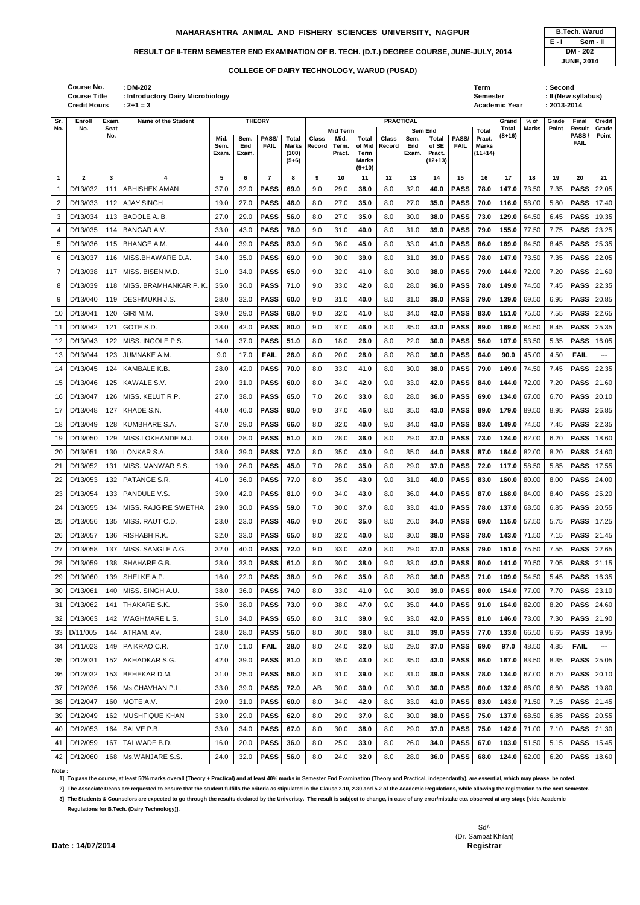|                |              |     |                        | ьлань.   | ьлаш. |                | l i na ì<br>$(5+6)$ |     | г юы. | 161 H<br><b>Marks</b><br>$(9+10)$ |     | ьлань. | <b>FIQUL.</b><br>$(12+13)$ |             | ,,,,,,, |       |       |      |                   |                          |
|----------------|--------------|-----|------------------------|----------|-------|----------------|---------------------|-----|-------|-----------------------------------|-----|--------|----------------------------|-------------|---------|-------|-------|------|-------------------|--------------------------|
| $\mathbf{1}$   | $\mathbf{2}$ | 3   | 4                      | 5        | 6     | $\overline{7}$ | 8                   | 9   | 10    | 11                                | 12  | 13     | 14                         | 15          | 16      | 17    | 18    | 19   | 20                | 21                       |
| $\mathbf{1}$   | D/13/032     | 111 | <b>ABHISHEK AMAN</b>   | 37.0     | 32.0  | <b>PASS</b>    | 69.0                | 9.0 | 29.0  | 38.0                              | 8.0 | 32.0   | 40.0                       | <b>PASS</b> | 78.0    | 147.0 | 73.50 | 7.35 | <b>PASS</b>       | 22.05                    |
| 2              | D/13/033     | 112 | <b>AJAY SINGH</b>      | 19.0     | 27.0  | <b>PASS</b>    | 46.0                | 8.0 | 27.0  | 35.0                              | 8.0 | 27.0   | 35.0                       | <b>PASS</b> | 70.0    | 116.0 | 58.00 | 5.80 | <b>PASS</b>       | 17.40                    |
| 3              | D/13/034     | 113 | <b>BADOLE A.B.</b>     | 27.0     | 29.0  | <b>PASS</b>    | 56.0                | 8.0 | 27.0  | 35.0                              | 8.0 | 30.0   | 38.0                       | <b>PASS</b> | 73.0    | 129.0 | 64.50 | 6.45 | <b>PASS</b>       | 19.35                    |
| 4              | D/13/035     | 114 | <b>BANGAR A.V.</b>     | 33.0     | 43.0  | <b>PASS</b>    | 76.0                | 9.0 | 31.0  | 40.0                              | 8.0 | 31.0   | 39.0                       | <b>PASS</b> | 79.0    | 155.0 | 77.50 | 7.75 | <b>PASS</b>       | 23.25                    |
| 5              | D/13/036     | 115 | <b>BHANGE A.M.</b>     | 44.0     | 39.0  | <b>PASS</b>    | 83.0                | 9.0 | 36.0  | 45.0                              | 8.0 | 33.0   | 41.0                       | <b>PASS</b> | 86.0    | 169.0 | 84.50 | 8.45 | <b>PASS</b>       | 25.35                    |
| 6              | D/13/037     | 116 | MISS.BHAWARE D.A.      | 34.0     | 35.0  | <b>PASS</b>    | 69.0                | 9.0 | 30.0  | 39.0                              | 8.0 | 31.0   | 39.0                       | <b>PASS</b> | 78.0    | 147.0 | 73.50 | 7.35 | <b>PASS</b>       | 22.05                    |
| $\overline{7}$ | D/13/038     | 117 | MISS. BISEN M.D.       | 31.0     | 34.0  | <b>PASS</b>    | 65.0                | 9.0 | 32.0  | 41.0                              | 8.0 | 30.0   | 38.0                       | <b>PASS</b> | 79.0    | 144.0 | 72.00 | 7.20 | <b>PASS</b>       | 21.60                    |
| 8              | D/13/039     | 118 | MISS. BRAMHANKAR P. K. | 35.0     | 36.0  | <b>PASS</b>    | 71.0                | 9.0 | 33.0  | 42.0                              | 8.0 | 28.0   | 36.0                       | <b>PASS</b> | 78.0    | 149.0 | 74.50 | 7.45 | <b>PASS</b>       | 22.35                    |
| 9              | D/13/040     | 119 | DESHMUKH J.S.          | 28.0     | 32.0  | <b>PASS</b>    | 60.0                | 9.0 | 31.0  | 40.0                              | 8.0 | 31.0   | 39.0                       | <b>PASS</b> | 79.0    | 139.0 | 69.50 | 6.95 | <b>PASS</b>       | 20.85                    |
| 10             | D/13/041     | 120 | GIRI M.M.              | 39.0     | 29.0  | <b>PASS</b>    | 68.0                | 9.0 | 32.0  | 41.0                              | 8.0 | 34.0   | 42.0                       | <b>PASS</b> | 83.0    | 151.0 | 75.50 | 7.55 | <b>PASS</b>       | 22.65                    |
| 11             | D/13/042     | 121 | GOTE S.D.              | 38.0     | 42.0  | <b>PASS</b>    | 80.0                | 9.0 | 37.0  | 46.0                              | 8.0 | 35.0   | 43.0                       | <b>PASS</b> | 89.0    | 169.0 | 84.50 | 8.45 | <b>PASS</b>       | 25.35                    |
| 12             | D/13/043     | 122 | MISS. INGOLE P.S.      | 14.0     | 37.0  | <b>PASS</b>    | 51.0                | 8.0 | 18.0  | 26.0                              | 8.0 | 22.0   | 30.0                       | <b>PASS</b> | 56.0    | 107.0 | 53.50 | 5.35 | <b>PASS</b>       | 16.05                    |
| 13             | D/13/044     | 123 | JUMNAKE A.M.           | 9.0      | 17.0  | <b>FAIL</b>    | 26.0                | 8.0 | 20.0  | 28.0                              | 8.0 | 28.0   | 36.0                       | <b>PASS</b> | 64.0    | 90.0  | 45.00 | 4.50 | <b>FAIL</b>       | ---                      |
| 14             | D/13/045     | 124 | KAMBALE K.B.           | 28.0     | 42.0  | <b>PASS</b>    | 70.0                | 8.0 | 33.0  | 41.0                              | 8.0 | 30.0   | 38.0                       | <b>PASS</b> | 79.0    | 149.0 | 74.50 | 7.45 | <b>PASS</b>       | 22.35                    |
| 15             | D/13/046     | 125 | KAWALE S.V.            | 29.0     | 31.0  | <b>PASS</b>    | 60.0                | 8.0 | 34.0  | 42.0                              | 9.0 | 33.0   | 42.0                       | <b>PASS</b> | 84.0    | 144.0 | 72.00 | 7.20 | <b>PASS</b>       | 21.60                    |
| 16             | D/13/047     | 126 | MISS. KELUT R.P.       | 27.0     | 38.0  | <b>PASS</b>    | 65.0                | 7.0 | 26.0  | 33.0                              | 8.0 | 28.0   | 36.0                       | <b>PASS</b> | 69.0    | 134.0 | 67.00 | 6.70 | <b>PASS</b>       | 20.10                    |
| 17             | D/13/048     | 127 | <b>KHADE S.N.</b>      | 44.0     | 46.0  | <b>PASS</b>    | 90.0                | 9.0 | 37.0  | 46.0                              | 8.0 | 35.0   | 43.0                       | <b>PASS</b> | 89.0    | 179.0 | 89.50 | 8.95 | <b>PASS</b>       | 26.85                    |
| 18             | D/13/049     | 128 | KUMBHARE S.A.          | 37.0     | 29.0  | <b>PASS</b>    | 66.0                | 8.0 | 32.0  | 40.0                              | 9.0 | 34.0   | 43.0                       | <b>PASS</b> | 83.0    | 149.0 | 74.50 | 7.45 | <b>PASS</b>       | 22.35                    |
| 19             | D/13/050     | 129 | MISS.LOKHANDE M.J.     | 23.0     | 28.0  | <b>PASS</b>    | 51.0                | 8.0 | 28.0  | 36.0                              | 8.0 | 29.0   | 37.0                       | <b>PASS</b> | 73.0    | 124.0 | 62.00 | 6.20 | <b>PASS</b>       | 18.60                    |
| 20             | D/13/051     | 130 | LONKAR S.A.            | 38.0     | 39.0  | <b>PASS</b>    | 77.0                | 8.0 | 35.0  | 43.0                              | 9.0 | 35.0   | 44.0                       | <b>PASS</b> | 87.0    | 164.0 | 82.00 | 8.20 | <b>PASS</b>       | 24.60                    |
| 21             | D/13/052     | 131 | MISS. MANWAR S.S.      | 19.0     | 26.0  | <b>PASS</b>    | 45.0                | 7.0 | 28.0  | 35.0                              | 8.0 | 29.0   | 37.0                       | <b>PASS</b> | 72.0    | 117.0 | 58.50 | 5.85 | <b>PASS</b>       | 17.55                    |
| 22             | D/13/053     | 132 | PATANGE S.R.           | 41.0     | 36.0  | <b>PASS</b>    | 77.0                | 8.0 | 35.0  | 43.0                              | 9.0 | 31.0   | 40.0                       | <b>PASS</b> | 83.0    | 160.0 | 80.00 | 8.00 | <b>PASS</b>       | 24.00                    |
| 23             | D/13/054     |     | 133 PANDULE V.S.       | $39.0\,$ | 42.0  | <b>PASS</b>    | 81.0                | 9.0 | 34.0  | 43.0                              | 8.0 | 36.0   | 44.0                       | <b>PASS</b> | 87.0    | 168.0 | 84.00 | 8.40 | <b>PASS</b> 25.20 |                          |
| 24             | D/13/055     | 134 | MISS. RAJGIRE SWETHA   | 29.0     | 30.0  | <b>PASS</b>    | 59.0                | 7.0 | 30.0  | 37.0                              | 8.0 | 33.0   | 41.0                       | <b>PASS</b> | 78.0    | 137.0 | 68.50 | 6.85 | <b>PASS</b>       | 20.55                    |
| 25             | D/13/056     | 135 | MISS. RAUT C.D.        | 23.0     | 23.0  | <b>PASS</b>    | 46.0                | 9.0 | 26.0  | 35.0                              | 8.0 | 26.0   | 34.0                       | <b>PASS</b> | 69.0    | 115.0 | 57.50 | 5.75 | <b>PASS</b>       | 17.25                    |
| 26             | D/13/057     | 136 | RISHABH R.K.           | 32.0     | 33.0  | <b>PASS</b>    | 65.0                | 8.0 | 32.0  | 40.0                              | 8.0 | 30.0   | 38.0                       | <b>PASS</b> | 78.0    | 143.0 | 71.50 | 7.15 | <b>PASS</b>       | 21.45                    |
| 27             | D/13/058     | 137 | MISS. SANGLE A.G.      | 32.0     | 40.0  | <b>PASS</b>    | 72.0                | 9.0 | 33.0  | 42.0                              | 8.0 | 29.0   | 37.0                       | <b>PASS</b> | 79.0    | 151.0 | 75.50 | 7.55 | <b>PASS</b>       | 22.65                    |
| 28             | D/13/059     | 138 | SHAHARE G.B.           | 28.0     | 33.0  | <b>PASS</b>    | 61.0                | 8.0 | 30.0  | 38.0                              | 9.0 | 33.0   | 42.0                       | <b>PASS</b> | 80.0    | 141.0 | 70.50 | 7.05 | <b>PASS</b>       | 21.15                    |
| 29             | D/13/060     | 139 | SHELKE A.P.            | 16.0     | 22.0  | <b>PASS</b>    | 38.0                | 9.0 | 26.0  | 35.0                              | 8.0 | 28.0   | 36.0                       | <b>PASS</b> | 71.0    | 109.0 | 54.50 | 5.45 | <b>PASS</b>       | 16.35                    |
| 30             | D/13/061     | 140 | MISS. SINGH A.U.       | 38.0     | 36.0  | <b>PASS</b>    | 74.0                | 8.0 | 33.0  | 41.0                              | 9.0 | 30.0   | 39.0                       | <b>PASS</b> | 80.0    | 154.0 | 77.00 | 7.70 | <b>PASS</b>       | 23.10                    |
| 31             | D/13/062     | 141 | <b>THAKARE S.K.</b>    | 35.0     | 38.0  | <b>PASS</b>    | 73.0                | 9.0 | 38.0  | 47.0                              | 9.0 | 35.0   | 44.0                       | <b>PASS</b> | 91.0    | 164.0 | 82.00 | 8.20 | <b>PASS</b>       | 24.60                    |
| 32             | D/13/063     | 142 | <b>WAGHMARE L.S.</b>   | 31.0     | 34.0  | <b>PASS</b>    | 65.0                | 8.0 | 31.0  | 39.0                              | 9.0 | 33.0   | 42.0                       | <b>PASS</b> | 81.0    | 146.0 | 73.00 | 7.30 | <b>PASS</b> 21.90 |                          |
| 33             | D/11/005     | 144 | ATRAM. AV.             | 28.0     | 28.0  | <b>PASS</b>    | 56.0                | 8.0 | 30.0  | 38.0                              | 8.0 | 31.0   | 39.0                       | <b>PASS</b> | 77.0    | 133.0 | 66.50 | 6.65 | <b>PASS</b>       | 19.95                    |
| 34             | D/11/023     | 149 | PAIKRAO C.R.           | 17.0     | 11.0  | <b>FAIL</b>    | 28.0                | 8.0 | 24.0  | 32.0                              | 8.0 | 29.0   | 37.0                       | <b>PASS</b> | 69.0    | 97.0  | 48.50 | 4.85 | <b>FAIL</b>       | $\hspace{0.05cm} \ldots$ |
| 35             | D/12/031     | 152 | AKHADKAR S.G.          | 42.0     | 39.0  | <b>PASS</b>    | 81.0                | 8.0 | 35.0  | 43.0                              | 8.0 | 35.0   | 43.0                       | <b>PASS</b> | 86.0    | 167.0 | 83.50 | 8.35 | <b>PASS</b>       | 25.05                    |
| 36             | D/12/032     | 153 | BEHEKAR D.M.           | 31.0     | 25.0  | <b>PASS</b>    | 56.0                | 8.0 | 31.0  | 39.0                              | 8.0 | 31.0   | 39.0                       | <b>PASS</b> | 78.0    | 134.0 | 67.00 | 6.70 | <b>PASS</b>       | 20.10                    |
| 37             | D/12/036     | 156 | Ms.CHAVHAN P.L.        | 33.0     | 39.0  | <b>PASS</b>    | 72.0                | AB  | 30.0  | 30.0                              | 0.0 | 30.0   | 30.0                       | <b>PASS</b> | 60.0    | 132.0 | 66.00 | 6.60 | <b>PASS</b>       | 19.80                    |
| 38             | D/12/047     | 160 | MOTE A.V.              | 29.0     | 31.0  | <b>PASS</b>    | 60.0                | 8.0 | 34.0  | 42.0                              | 8.0 | 33.0   | 41.0                       | <b>PASS</b> | 83.0    | 143.0 | 71.50 | 7.15 | <b>PASS</b> 21.45 |                          |
| 39             | D/12/049     | 162 | <b>MUSHFIQUE KHAN</b>  | 33.0     | 29.0  | <b>PASS</b>    | 62.0                | 8.0 | 29.0  | 37.0                              | 8.0 | 30.0   | 38.0                       | <b>PASS</b> | 75.0    | 137.0 | 68.50 | 6.85 | <b>PASS</b>       | 20.55                    |
| 40             | D/12/053     | 164 | SALVE P.B.             | 33.0     | 34.0  | <b>PASS</b>    | 67.0                | 8.0 | 30.0  | 38.0                              | 8.0 | 29.0   | 37.0                       | <b>PASS</b> | 75.0    | 142.0 | 71.00 | 7.10 | <b>PASS</b> 21.30 |                          |
| 41             | D/12/059     | 167 | TALWADE B.D.           | 16.0     | 20.0  | <b>PASS</b>    | 36.0                | 8.0 | 25.0  | 33.0                              | 8.0 | 26.0   | 34.0                       | <b>PASS</b> | 67.0    | 103.0 | 51.50 | 5.15 | PASS              | 15.45                    |
| 42             | D/12/060     | 168 | Ms.WANJARE S.S.        | 24.0     | 32.0  | <b>PASS</b>    | 56.0                | 8.0 | 24.0  | 32.0                              | 8.0 | 28.0   | 36.0                       | <b>PASS</b> | 68.0    | 124.0 | 62.00 | 6.20 |                   | <b>PASS</b> 18.60        |

| : DM-202<br>: Introductory Dairy Microbiology<br>$: 2 + 1 = 3$ |       |       |               |         |                |          |              |                  |       |           |             | Term<br><b>Semester</b> | <b>Academic Year</b> |       | : Second<br>$: 2013 - 2014$ | : II (New syllabus) |        |
|----------------------------------------------------------------|-------|-------|---------------|---------|----------------|----------|--------------|------------------|-------|-----------|-------------|-------------------------|----------------------|-------|-----------------------------|---------------------|--------|
| Name of the Student                                            |       |       | <b>THEORY</b> |         |                |          |              | <b>PRACTICAL</b> |       |           |             |                         | Grand                | % of  | Grade                       | Final               | Credit |
|                                                                |       |       |               |         |                | Mid Term |              |                  |       | Sem End   |             | <b>Total</b>            | Total                | Marks | Point                       | Result              | Grade  |
|                                                                | Mid.  | Sem.  | PASS/         | Total   | <b>Class</b>   | Mid.     | <b>Total</b> | <b>Class</b>     | Sem.  | Total     | PASS/       | Pract.                  | $(8+16)$             |       |                             | PASS/               | Point  |
|                                                                | Sem.  | End   | <b>FAIL</b>   |         | Marks   Record | Term.    |              | of Mid Record    | End   | of SE     | <b>FAIL</b> | Marks                   |                      |       |                             | <b>FAIL</b>         |        |
|                                                                | Exam. | Exam. |               | (100)   |                | Pract.   | Term         |                  | Exam. | Pract.    |             | $(11+14)$               |                      |       |                             |                     |        |
|                                                                |       |       |               | $(5+6)$ |                |          | Marks        |                  |       | $(12+13)$ |             |                         |                      |       |                             |                     |        |
|                                                                |       |       |               |         |                |          | $(9+10)$     |                  |       |           |             |                         |                      |       |                             |                     |        |
|                                                                |       | 6     |               |         |                | 10       | 11           | 12               | 13    | 14        | 15          | 16                      | 17                   | 18    | 19                          | 20                  | 21     |

**Course Title : Introductory D Credit Hours Course No.**

|       | <b>B.Tech. Warud</b> |
|-------|----------------------|
| E - I | Sem - II             |
|       | DM - 202             |
|       | <b>JUNE, 2014</b>    |

**Note :** 

**1] To pass the course, at least 50% marks overall (Theory + Practical) and at least 40% marks in Semester End Examination (Theory and Practical, independantly), are essential, which may please, be noted.**

**2] The Associate Deans are requested to ensure that the student fulfills the criteria as stipulated in the Clause 2.10, 2.30 and 5.2 of the Academic Regulations, while allowing the registration to the next semester.**

**3] The Students & Counselors are expected to go through the results declared by the Univeristy. The result is subject to change, in case of any error/mistake etc. observed at any stage [vide Academic** 

**Regulations for B.Tech. (Dairy Technology)].**

Sd/- (Dr. Sampat Khilari)

**Date : 14/07/2014** Registrar

**Sr. No.** **Enroll No.**

**Exam. Seat No.**

## **COLLEGE OF DAIRY TECHNOLOGY, WARUD (PUSAD)**

## **MAHARASHTRA ANIMAL AND FISHERY SCIENCES UNIVERSITY, NAGPUR B.Tech. Warud**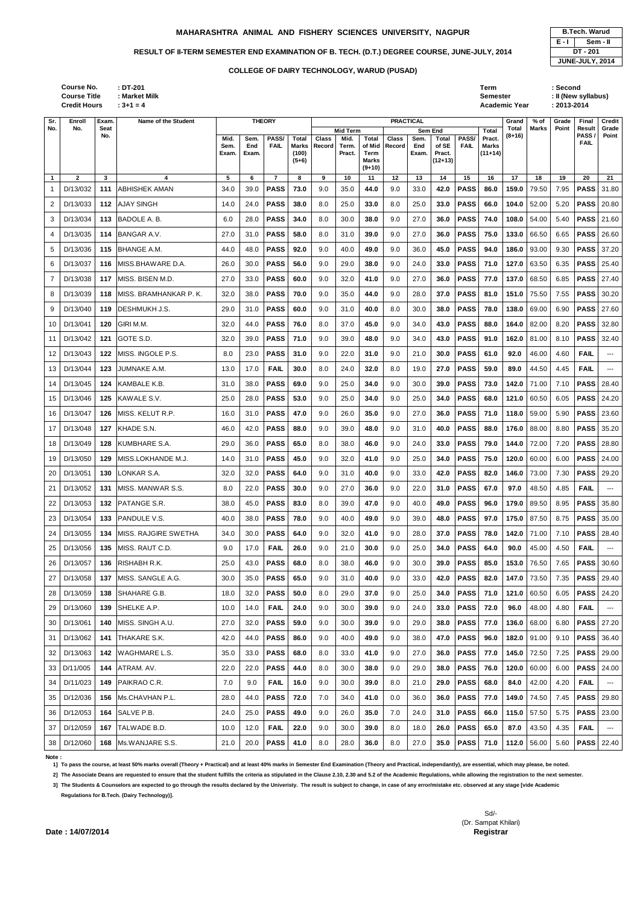|                |              |     |                        | Exam. | Exam. |                | (100)<br>$(5+6)$ |     | Pract. | Term<br><b>Marks</b><br>$(9+10)$ |     | Exam. | Pract.<br>$(12+13)$ |             | $(11+14)$ |       |       |      |             |       |
|----------------|--------------|-----|------------------------|-------|-------|----------------|------------------|-----|--------|----------------------------------|-----|-------|---------------------|-------------|-----------|-------|-------|------|-------------|-------|
| $\mathbf{1}$   | $\mathbf{2}$ | 3   | 4                      | 5     | 6     | $\overline{7}$ | 8                | 9   | 10     | 11                               | 12  | 13    | 14                  | 15          | 16        | 17    | 18    | 19   | 20          | 21    |
|                | D/13/032     | 111 | <b>ABHISHEK AMAN</b>   | 34.0  | 39.0  | <b>PASS</b>    | 73.0             | 9.0 | 35.0   | 44.0                             | 9.0 | 33.0  | 42.0                | <b>PASS</b> | 86.0      | 159.0 | 79.50 | 7.95 | <b>PASS</b> | 31.80 |
| 2              | D/13/033     | 112 | <b>AJAY SINGH</b>      | 14.0  | 24.0  | <b>PASS</b>    | 38.0             | 8.0 | 25.0   | 33.0                             | 8.0 | 25.0  | 33.0                | <b>PASS</b> | 66.0      | 104.0 | 52.00 | 5.20 | <b>PASS</b> | 20.80 |
| 3              | D/13/034     | 113 | BADOLE A. B.           | 6.0   | 28.0  | <b>PASS</b>    | 34.0             | 8.0 | 30.0   | 38.0                             | 9.0 | 27.0  | 36.0                | <b>PASS</b> | 74.0      | 108.0 | 54.00 | 5.40 | <b>PASS</b> | 21.60 |
| 4              | D/13/035     | 114 | BANGAR A.V.            | 27.0  | 31.0  | <b>PASS</b>    | 58.0             | 8.0 | 31.0   | 39.0                             | 9.0 | 27.0  | 36.0                | <b>PASS</b> | 75.0      | 133.0 | 66.50 | 6.65 | <b>PASS</b> | 26.60 |
| 5              | D/13/036     | 115 | <b>BHANGE A.M.</b>     | 44.0  | 48.0  | <b>PASS</b>    | 92.0             | 9.0 | 40.0   | 49.0                             | 9.0 | 36.0  | 45.0                | <b>PASS</b> | 94.0      | 186.0 | 93.00 | 9.30 | <b>PASS</b> | 37.20 |
| 6              | D/13/037     | 116 | MISS.BHAWARE D.A.      | 26.0  | 30.0  | <b>PASS</b>    | 56.0             | 9.0 | 29.0   | 38.0                             | 9.0 | 24.0  | 33.0                | <b>PASS</b> | 71.0      | 127.0 | 63.50 | 6.35 | <b>PASS</b> | 25.40 |
| $\overline{7}$ | D/13/038     | 117 | MISS. BISEN M.D.       | 27.0  | 33.0  | <b>PASS</b>    | 60.0             | 9.0 | 32.0   | 41.0                             | 9.0 | 27.0  | 36.0                | <b>PASS</b> | 77.0      | 137.0 | 68.50 | 6.85 | <b>PASS</b> | 27.40 |
| 8              | D/13/039     | 118 | MISS. BRAMHANKAR P. K. | 32.0  | 38.0  | <b>PASS</b>    | 70.0             | 9.0 | 35.0   | 44.0                             | 9.0 | 28.0  | 37.0                | <b>PASS</b> | 81.0      | 151.0 | 75.50 | 7.55 | <b>PASS</b> | 30.20 |
| 9              | D/13/040     | 119 | DESHMUKH J.S.          | 29.0  | 31.0  | <b>PASS</b>    | 60.0             | 9.0 | 31.0   | 40.0                             | 8.0 | 30.0  | 38.0                | <b>PASS</b> | 78.0      | 138.0 | 69.00 | 6.90 | <b>PASS</b> | 27.60 |
| 10             | D/13/041     | 120 | GIRI M.M.              | 32.0  | 44.0  | <b>PASS</b>    | 76.0             | 8.0 | 37.0   | 45.0                             | 9.0 | 34.0  | 43.0                | <b>PASS</b> | 88.0      | 164.0 | 82.00 | 8.20 | <b>PASS</b> | 32.80 |
| 11             | D/13/042     | 121 | GOTE S.D.              | 32.0  | 39.0  | <b>PASS</b>    | 71.0             | 9.0 | 39.0   | 48.0                             | 9.0 | 34.0  | 43.0                | <b>PASS</b> | 91.0      | 162.0 | 81.00 | 8.10 | <b>PASS</b> | 32.40 |
| 12             | D/13/043     | 122 | MISS. INGOLE P.S.      | 8.0   | 23.0  | <b>PASS</b>    | 31.0             | 9.0 | 22.0   | 31.0                             | 9.0 | 21.0  | 30.0                | <b>PASS</b> | 61.0      | 92.0  | 46.00 | 4.60 | <b>FAIL</b> | ---   |
| 13             | D/13/044     | 123 | JUMNAKE A.M.           | 13.0  | 17.0  | <b>FAIL</b>    | 30.0             | 8.0 | 24.0   | 32.0                             | 8.0 | 19.0  | 27.0                | <b>PASS</b> | 59.0      | 89.0  | 44.50 | 4.45 | <b>FAIL</b> | ---   |
| 14             | D/13/045     | 124 | KAMBALE K.B.           | 31.0  | 38.0  | <b>PASS</b>    | 69.0             | 9.0 | 25.0   | 34.0                             | 9.0 | 30.0  | 39.0                | <b>PASS</b> | 73.0      | 142.0 | 71.00 | 7.10 | <b>PASS</b> | 28.40 |
| 15             | D/13/046     | 125 | KAWALE S.V.            | 25.0  | 28.0  | <b>PASS</b>    | 53.0             | 9.0 | 25.0   | 34.0                             | 9.0 | 25.0  | 34.0                | <b>PASS</b> | 68.0      | 121.0 | 60.50 | 6.05 | <b>PASS</b> | 24.20 |
| 16             | D/13/047     | 126 | MISS. KELUT R.P.       | 16.0  | 31.0  | <b>PASS</b>    | 47.0             | 9.0 | 26.0   | 35.0                             | 9.0 | 27.0  | 36.0                | <b>PASS</b> | 71.0      | 118.0 | 59.00 | 5.90 | <b>PASS</b> | 23.60 |
| 17             | D/13/048     | 127 | KHADE S.N.             | 46.0  | 42.0  | <b>PASS</b>    | 88.0             | 9.0 | 39.0   | 48.0                             | 9.0 | 31.0  | 40.0                | <b>PASS</b> | 88.0      | 176.0 | 88.00 | 8.80 | <b>PASS</b> | 35.20 |
| 18             | D/13/049     | 128 | KUMBHARE S.A.          | 29.0  | 36.0  | <b>PASS</b>    | 65.0             | 8.0 | 38.0   | 46.0                             | 9.0 | 24.0  | 33.0                | <b>PASS</b> | 79.0      | 144.0 | 72.00 | 7.20 | <b>PASS</b> | 28.80 |
| 19             | D/13/050     | 129 | MISS.LOKHANDE M.J.     | 14.0  | 31.0  | <b>PASS</b>    | 45.0             | 9.0 | 32.0   | 41.0                             | 9.0 | 25.0  | 34.0                | <b>PASS</b> | 75.0      | 120.0 | 60.00 | 6.00 | <b>PASS</b> | 24.00 |
| 20             | D/13/051     | 130 | LONKAR S.A.            | 32.0  | 32.0  | <b>PASS</b>    | 64.0             | 9.0 | 31.0   | 40.0                             | 9.0 | 33.0  | 42.0                | <b>PASS</b> | 82.0      | 146.0 | 73.00 | 7.30 | <b>PASS</b> | 29.20 |
| 21             | D/13/052     |     | 131 IMISS, MANWAR S.S. | 8.0   | 22.0  | <b>PASS</b>    | 30.0             | 9.0 | 27.0   | 36.0                             | 9.0 | 22.0  | 31.0                | <b>PASS</b> | 67.0      | 97.0  | 48.50 | 4.85 | <b>FAIL</b> |       |
| 22             | D/13/053     | 132 | PATANGE S.R.           | 38.0  | 45.0  | <b>PASS</b>    | 83.0             | 8.0 | 39.0   | 47.0                             | 9.0 | 40.0  | 49.0                | <b>PASS</b> | 96.0      | 179.0 | 89.50 | 8.95 | <b>PASS</b> | 35.80 |
| 23             | D/13/054     | 133 | PANDULE V.S.           | 40.0  | 38.0  | <b>PASS</b>    | 78.0             | 9.0 | 40.0   | 49.0                             | 9.0 | 39.0  | 48.0                | <b>PASS</b> | 97.0      | 175.0 | 87.50 | 8.75 | <b>PASS</b> | 35.00 |
| 24             | D/13/055     | 134 | MISS. RAJGIRE SWETHA   | 34.0  | 30.0  | <b>PASS</b>    | 64.0             | 9.0 | 32.0   | 41.0                             | 9.0 | 28.0  | 37.0                | <b>PASS</b> | 78.0      | 142.0 | 71.00 | 7.10 | <b>PASS</b> | 28.40 |
| 25             | D/13/056     | 135 | MISS. RAUT C.D.        | 9.0   | 17.0  | <b>FAIL</b>    | 26.0             | 9.0 | 21.0   | 30.0                             | 9.0 | 25.0  | 34.0                | <b>PASS</b> | 64.0      | 90.0  | 45.00 | 4.50 | <b>FAIL</b> | ---   |
| 26             | D/13/057     | 136 | RISHABH R.K.           | 25.0  | 43.0  | <b>PASS</b>    | 68.0             | 8.0 | 38.0   | 46.0                             | 9.0 | 30.0  | 39.0                | <b>PASS</b> | 85.0      | 153.0 | 76.50 | 7.65 | <b>PASS</b> | 30.60 |
| 27             | D/13/058     | 137 | MISS. SANGLE A.G.      | 30.0  | 35.0  | <b>PASS</b>    | 65.0             | 9.0 | 31.0   | 40.0                             | 9.0 | 33.0  | 42.0                | <b>PASS</b> | 82.0      | 147.0 | 73.50 | 7.35 | <b>PASS</b> | 29.40 |
| 28             | D/13/059     | 138 | SHAHARE G.B.           | 18.0  | 32.0  | <b>PASS</b>    | 50.0             | 8.0 | 29.0   | 37.0                             | 9.0 | 25.0  | 34.0                | <b>PASS</b> | 71.0      | 121.0 | 60.50 | 6.05 | <b>PASS</b> | 24.20 |
| 29             | D/13/060     | 139 | SHELKE A.P.            | 10.0  | 14.0  | <b>FAIL</b>    | 24.0             | 9.0 | 30.0   | 39.0                             | 9.0 | 24.0  | 33.0                | <b>PASS</b> | 72.0      | 96.0  | 48.00 | 4.80 | <b>FAIL</b> | ---   |
| 30             | D/13/061     | 140 | MISS. SINGH A.U.       | 27.0  | 32.0  | <b>PASS</b>    | 59.0             | 9.0 | 30.0   | 39.0                             | 9.0 | 29.0  | 38.0                | <b>PASS</b> | 77.0      | 136.0 | 68.00 | 6.80 | <b>PASS</b> | 27.20 |
| 31             | D/13/062     | 141 | THAKARE S.K.           | 42.0  | 44.0  | <b>PASS</b>    | 86.0             | 9.0 | 40.0   | 49.0                             | 9.0 | 38.0  | 47.0                | <b>PASS</b> | 96.0      | 182.0 | 91.00 | 9.10 | <b>PASS</b> | 36.40 |
| 32             | D/13/063     | 142 | WAGHMARE L.S.          | 35.0  | 33.0  | <b>PASS</b>    | 68.0             | 8.0 | 33.0   | 41.0                             | 9.0 | 27.0  | 36.0                | <b>PASS</b> | 77.0      | 145.0 | 72.50 | 7.25 | <b>PASS</b> | 29.00 |
| 33             | D/11/005     | 144 | ATRAM. AV.             | 22.0  | 22.0  | <b>PASS</b>    | 44.0             | 8.0 | 30.0   | 38.0                             | 9.0 | 29.0  | 38.0                | <b>PASS</b> | 76.0      | 120.0 | 60.00 | 6.00 | <b>PASS</b> | 24.00 |
| 34             | D/11/023     | 149 | PAIKRAO C.R.           | 7.0   | 9.0   | <b>FAIL</b>    | 16.0             | 9.0 | 30.0   | 39.0                             | 8.0 | 21.0  | 29.0                | <b>PASS</b> | 68.0      | 84.0  | 42.00 | 4.20 | <b>FAIL</b> | $---$ |
| 35             | D/12/036     | 156 | Ms.CHAVHAN P.L.        | 28.0  | 44.0  | <b>PASS</b>    | 72.0             | 7.0 | 34.0   | 41.0                             | 0.0 | 36.0  | 36.0                | <b>PASS</b> | 77.0      | 149.0 | 74.50 | 7.45 | <b>PASS</b> | 29.80 |
| 36             | D/12/053     | 164 | SALVE P.B.             | 24.0  | 25.0  | <b>PASS</b>    | 49.0             | 9.0 | 26.0   | 35.0                             | 7.0 | 24.0  | 31.0                | <b>PASS</b> | 66.0      | 115.0 | 57.50 | 5.75 | <b>PASS</b> | 23.00 |
| 37             | D/12/059     | 167 | TALWADE B.D.           | 10.0  | 12.0  | <b>FAIL</b>    | 22.0             | 9.0 | 30.0   | 39.0                             | 8.0 | 18.0  | 26.0                | <b>PASS</b> | 65.0      | 87.0  | 43.50 | 4.35 | <b>FAIL</b> | $---$ |
| 38             | D/12/060     | 168 | Ms.WANJARE S.S.        | 21.0  | 20.0  | <b>PASS</b>    | 41.0             | 8.0 | 28.0   | 36.0                             | 8.0 | 27.0  | 35.0                | <b>PASS</b> | 71.0      | 112.0 | 56.00 | 5.60 | <b>PASS</b> | 22.40 |

Sd/- (Dr. Sampat Khilari) **Date : 14/07/2014** Registrar

| : DT-201<br>: Market Milk<br>$: 3 + 1 = 4$ |       |               |             |              |               |                  |          |                  |                 |           |              | Term<br><b>Semester</b> | <b>Academic Year</b> |                      | : Second<br>$: 2013 - 2014$ | : II (New syllabus)    |                 |
|--------------------------------------------|-------|---------------|-------------|--------------|---------------|------------------|----------|------------------|-----------------|-----------|--------------|-------------------------|----------------------|----------------------|-----------------------------|------------------------|-----------------|
| Name of the Student                        |       | <b>THEORY</b> |             |              |               |                  |          | <b>PRACTICAL</b> |                 |           |              |                         | Grand<br>Total       | % of<br><b>Marks</b> | Grade<br>Point              | Final<br><b>Result</b> | Credit<br>Grade |
|                                            | Mid.  | Sem.          | PASS/       | <b>Total</b> | Class         | Mid Term<br>Mid. | Total    | <b>Class</b>     | Sem End<br>Sem. | Total     | <b>PASS/</b> | <b>Total</b><br>Pract.  | (8+16)               |                      |                             | <b>PASS</b>            | Point           |
|                                            | Sem.  | End           | <b>FAIL</b> | <b>Marks</b> | <b>Record</b> | Term.            |          | of Mid Record    | End             | of SE     | <b>FAIL</b>  | <b>Marks</b>            |                      |                      |                             | <b>FAIL</b>            |                 |
|                                            | Exam. | Exam.         |             | (100)        |               | Pract.           | Term     |                  | Exam.           | Pract.    |              | $(11+14)$               |                      |                      |                             |                        |                 |
|                                            |       |               |             | $(5+6)$      |               |                  | Marks    |                  |                 | $(12+13)$ |              |                         |                      |                      |                             |                        |                 |
|                                            |       |               |             |              |               |                  | $(9+10)$ |                  |                 |           |              |                         |                      |                      |                             |                        |                 |
|                                            | 5     | 6             |             | 8            | 9             | 10               | 11       | 12 <sup>12</sup> | 13              | 14        | 15           | 16                      | 17                   | 18                   | 19                          | 20                     | 21              |

|         | <b>B.Tech. Warud</b> |
|---------|----------------------|
| $E - I$ | Sem - II             |
|         | DT - 201             |
|         | JUNE-JULY, 2014      |

## **Note :**

**1] To pass the course, at least 50% marks overall (Theory + Practical) and at least 40% marks in Semester End Examination (Theory and Practical, independantly), are essential, which may please, be noted.**

**2] The Associate Deans are requested to ensure that the student fulfills the criteria as stipulated in the Clause 2.10, 2.30 and 5.2 of the Academic Regulations, while allowing the registration to the next semester.**

**3] The Students & Counselors are expected to go through the results declared by the Univeristy. The result is subject to change, in case of any error/mistake etc. observed at any stage [vide Academic** 

**Regulations for B.Tech. (Dairy Technology)].**

**Sr. No.** **Enroll No.**

**Exam. Seat No.**

**Course Title : Market Milk Credit Hours Course No.**

## **COLLEGE OF DAIRY TECHNOLOGY, WARUD (PUSAD)**

## **MAHARASHTRA ANIMAL AND FISHERY SCIENCES UNIVERSITY, NAGPUR B.Tech. Warud**